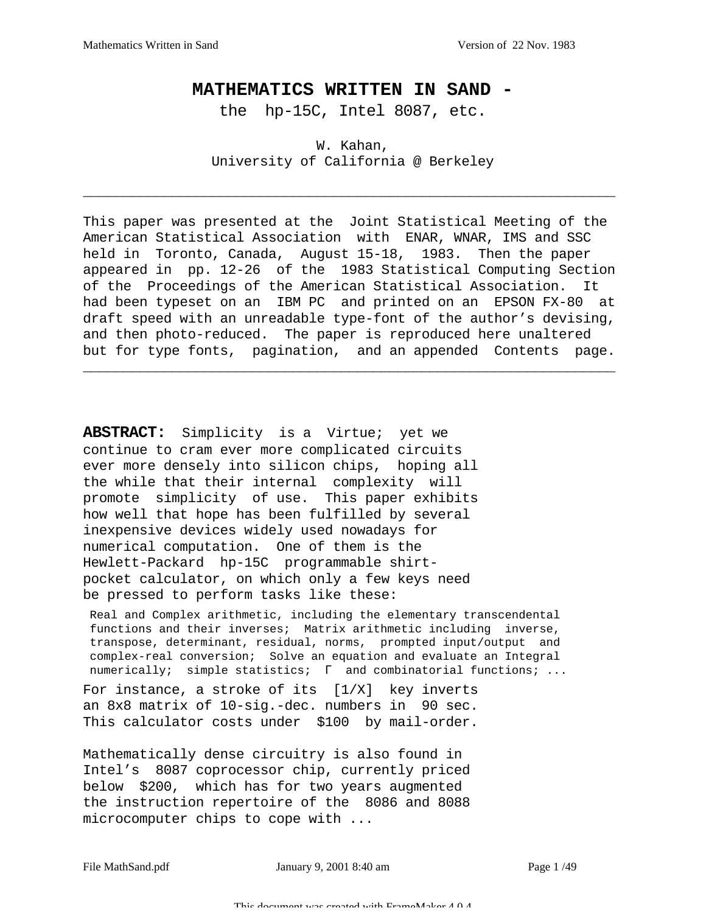## **MATHEMATICS WRITTEN IN SAND -**

the hp-15C, Intel 8087, etc.

W. Kahan, University of California @ Berkeley

\_\_\_\_\_\_\_\_\_\_\_\_\_\_\_\_\_\_\_\_\_\_\_\_\_\_\_\_\_\_\_\_\_\_\_\_\_\_\_\_\_\_\_\_\_\_\_\_\_\_\_\_\_\_\_\_\_\_\_\_\_\_\_\_\_\_

This paper was presented at the Joint Statistical Meeting of the American Statistical Association with ENAR, WNAR, IMS and SSC held in Toronto, Canada, August 15-18, 1983. Then the paper appeared in pp. 12-26 of the 1983 Statistical Computing Section of the Proceedings of the American Statistical Association. It had been typeset on an IBM PC and printed on an EPSON FX-80 at draft speed with an unreadable type-font of the author's devising, and then photo-reduced. The paper is reproduced here unaltered but for type fonts, pagination, and an appended Contents page.

\_\_\_\_\_\_\_\_\_\_\_\_\_\_\_\_\_\_\_\_\_\_\_\_\_\_\_\_\_\_\_\_\_\_\_\_\_\_\_\_\_\_\_\_\_\_\_\_\_\_\_\_\_\_\_\_\_\_\_\_\_\_\_\_\_\_

**ABSTRACT:** Simplicity is a Virtue; yet we continue to cram ever more complicated circuits ever more densely into silicon chips, hoping all the while that their internal complexity will promote simplicity of use. This paper exhibits how well that hope has been fulfilled by several inexpensive devices widely used nowadays for numerical computation. One of them is the Hewlett-Packard hp-15C programmable shirtpocket calculator, on which only a few keys need be pressed to perform tasks like these:

 Real and Complex arithmetic, including the elementary transcendental functions and their inverses; Matrix arithmetic including inverse, transpose, determinant, residual, norms, prompted input/output and complex-real conversion; Solve an equation and evaluate an Integral numerically; simple statistics; Γ and combinatorial functions; ...

For instance, a stroke of its [1/X] key inverts an 8x8 matrix of 10-sig.-dec. numbers in 90 sec. This calculator costs under \$100 by mail-order.

Mathematically dense circuitry is also found in Intel's 8087 coprocessor chip, currently priced below \$200, which has for two years augmented the instruction repertoire of the 8086 and 8088 microcomputer chips to cope with ...

File MathSand.pdf **Ianuary 9, 2001 8:40 am** Page 1/49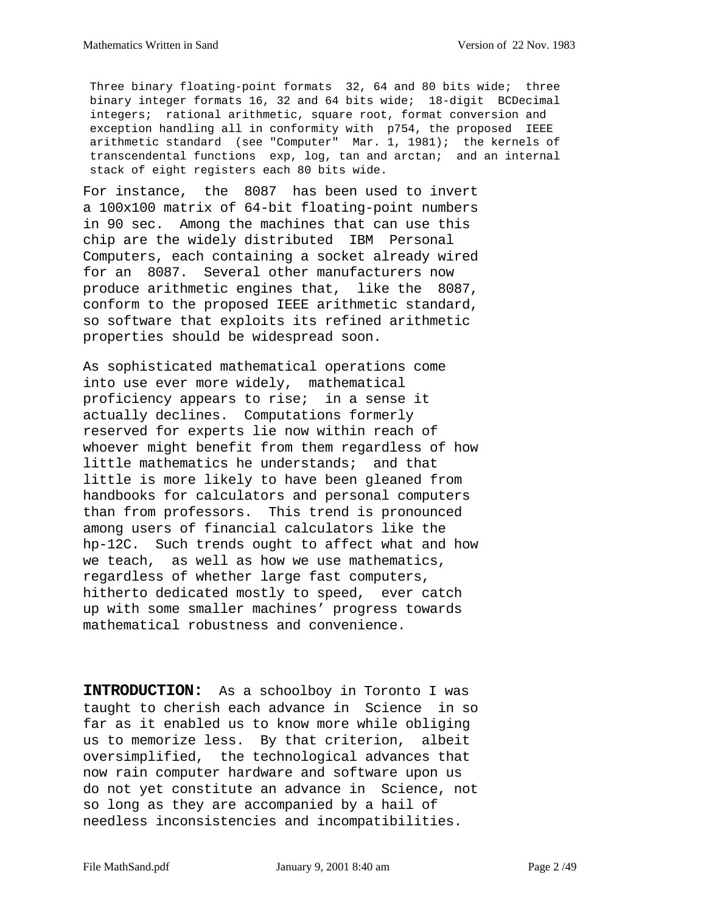Three binary floating-point formats 32, 64 and 80 bits wide; three binary integer formats 16, 32 and 64 bits wide; 18-digit BCDecimal integers; rational arithmetic, square root, format conversion and exception handling all in conformity with p754, the proposed IEEE arithmetic standard (see "Computer" Mar. 1, 1981); the kernels of transcendental functions exp, log, tan and arctan; and an internal stack of eight registers each 80 bits wide.

For instance, the 8087 has been used to invert a 100x100 matrix of 64-bit floating-point numbers in 90 sec. Among the machines that can use this chip are the widely distributed IBM Personal Computers, each containing a socket already wired for an 8087. Several other manufacturers now produce arithmetic engines that, like the 8087, conform to the proposed IEEE arithmetic standard, so software that exploits its refined arithmetic properties should be widespread soon.

As sophisticated mathematical operations come into use ever more widely, mathematical proficiency appears to rise; in a sense it actually declines. Computations formerly reserved for experts lie now within reach of whoever might benefit from them regardless of how little mathematics he understands; and that little is more likely to have been gleaned from handbooks for calculators and personal computers than from professors. This trend is pronounced among users of financial calculators like the hp-12C. Such trends ought to affect what and how we teach, as well as how we use mathematics, regardless of whether large fast computers, hitherto dedicated mostly to speed, ever catch up with some smaller machines' progress towards mathematical robustness and convenience.

**INTRODUCTION:** As a schoolboy in Toronto I was taught to cherish each advance in Science in so far as it enabled us to know more while obliging us to memorize less. By that criterion, albeit oversimplified, the technological advances that now rain computer hardware and software upon us do not yet constitute an advance in Science, not so long as they are accompanied by a hail of needless inconsistencies and incompatibilities.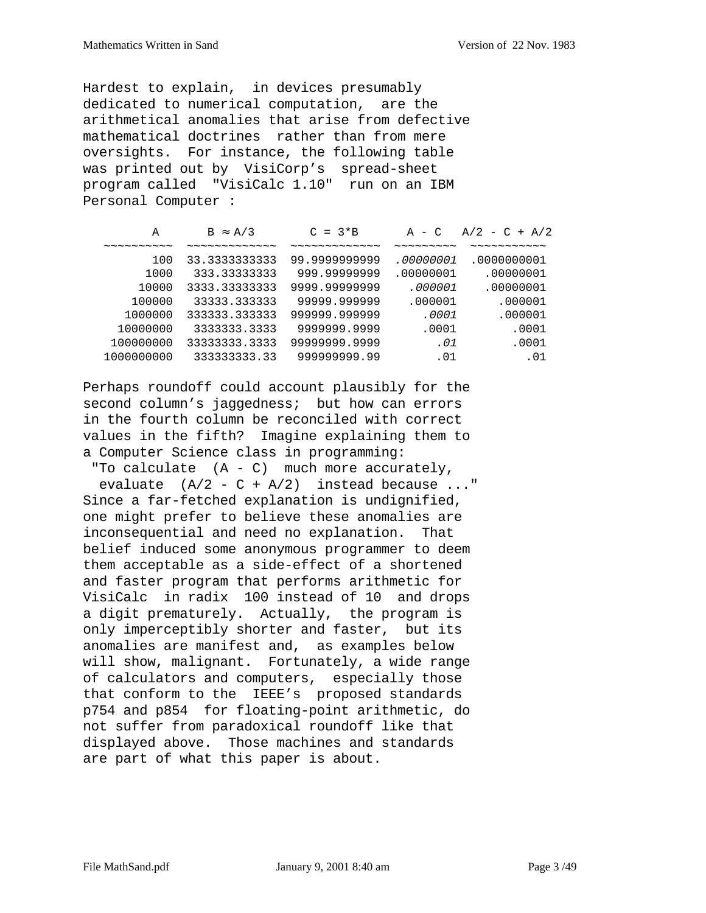Hardest to explain, in devices presumably dedicated to numerical computation, are the arithmetical anomalies that arise from defective mathematical doctrines rather than from mere oversights. For instance, the following table was printed out by VisiCorp's spread-sheet program called "VisiCalc 1.10" run on an IBM Personal Computer :

| А                                                       | $B \approx A/3$ | $C = 3*B$     | $A - C$                                          | $A/2 - C + A/2$ |
|---------------------------------------------------------|-----------------|---------------|--------------------------------------------------|-----------------|
| $\sim$ $\sim$ $\sim$ $\sim$ $\sim$ $\sim$ $\sim$ $\sim$ |                 |               | $\sim$ $\sim$ $\sim$ $\sim$ $\sim$ $\sim$ $\sim$ |                 |
| 100                                                     | 33.3333333333   | 99.999999999  | .00000001                                        | .0000000001     |
| 1000                                                    | 333.33333333    | 999.99999999  | .00000001                                        | .00000001       |
| 10000                                                   | 3333.33333333   | 9999.99999999 | .000001                                          | .00000001       |
| 100000                                                  | 33333.333333    | 99999.999999  | .000001                                          | .000001         |
| 1000000                                                 | 333333.333333   | 999999.999999 | .0001                                            | .000001         |
| 10000000                                                | 3333333.3333    | 9999999.9999  | .0001                                            | .0001           |
| 100000000                                               | 33333333.3333   | 99999999.9999 | .01                                              | .0001           |
| 1000000000                                              | 333333333.33    | 99999999.99   | .01                                              | .01             |

Perhaps roundoff could account plausibly for the second column's jaggedness; but how can errors in the fourth column be reconciled with correct values in the fifth? Imagine explaining them to a Computer Science class in programming:

 "To calculate (A - C) much more accurately, evaluate  $(A/2 - C + A/2)$  instead because ..." Since a far-fetched explanation is undignified, one might prefer to believe these anomalies are inconsequential and need no explanation. That belief induced some anonymous programmer to deem them acceptable as a side-effect of a shortened and faster program that performs arithmetic for VisiCalc in radix 100 instead of 10 and drops a digit prematurely. Actually, the program is only imperceptibly shorter and faster, but its anomalies are manifest and, as examples below will show, malignant. Fortunately, a wide range of calculators and computers, especially those that conform to the IEEE's proposed standards p754 and p854 for floating-point arithmetic, do not suffer from paradoxical roundoff like that displayed above. Those machines and standards are part of what this paper is about.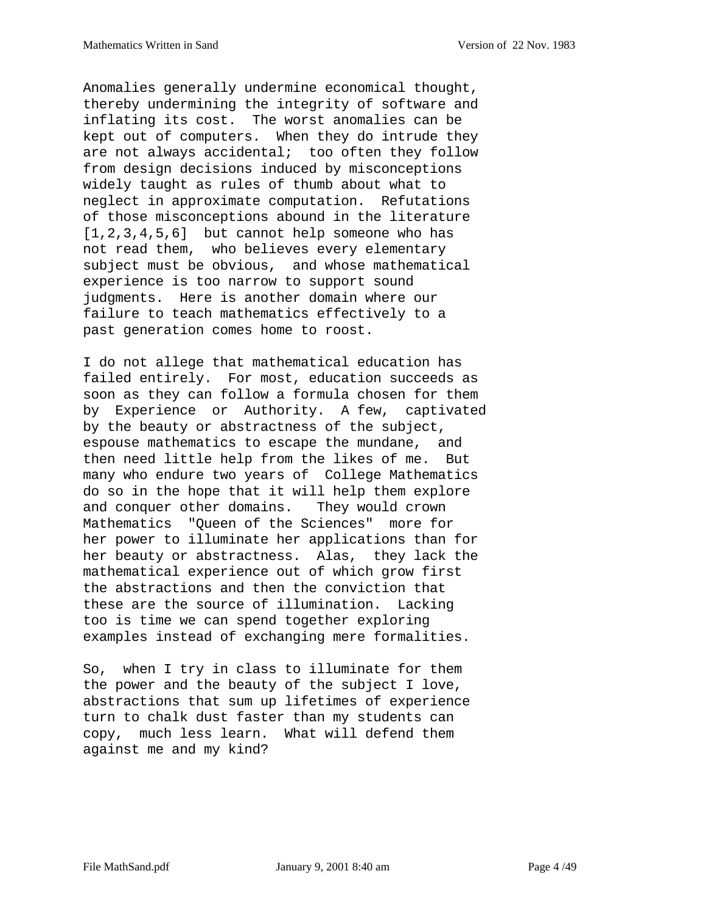Anomalies generally undermine economical thought, thereby undermining the integrity of software and inflating its cost. The worst anomalies can be kept out of computers. When they do intrude they are not always accidental; too often they follow from design decisions induced by misconceptions widely taught as rules of thumb about what to neglect in approximate computation. Refutations of those misconceptions abound in the literature  $[1,2,3,4,5,6]$  but cannot help someone who has not read them, who believes every elementary subject must be obvious, and whose mathematical experience is too narrow to support sound judgments. Here is another domain where our failure to teach mathematics effectively to a past generation comes home to roost.

I do not allege that mathematical education has failed entirely. For most, education succeeds as soon as they can follow a formula chosen for them by Experience or Authority. A few, captivated by the beauty or abstractness of the subject, espouse mathematics to escape the mundane, and then need little help from the likes of me. But many who endure two years of College Mathematics do so in the hope that it will help them explore and conquer other domains. They would crown Mathematics "Queen of the Sciences" more for her power to illuminate her applications than for her beauty or abstractness. Alas, they lack the mathematical experience out of which grow first the abstractions and then the conviction that these are the source of illumination. Lacking too is time we can spend together exploring examples instead of exchanging mere formalities.

So, when I try in class to illuminate for them the power and the beauty of the subject I love, abstractions that sum up lifetimes of experience turn to chalk dust faster than my students can copy, much less learn. What will defend them against me and my kind?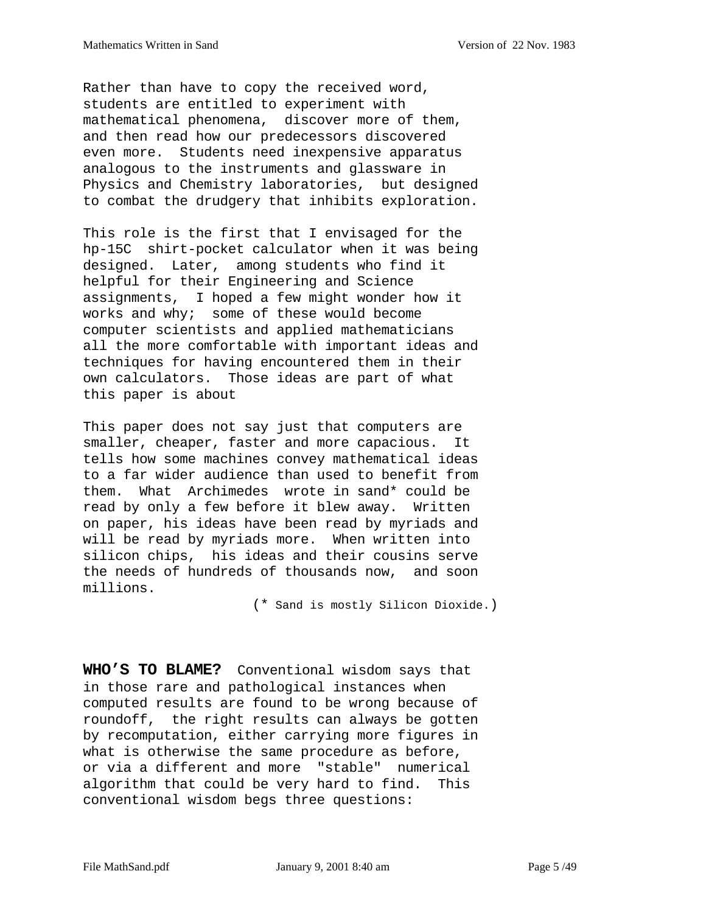Rather than have to copy the received word, students are entitled to experiment with mathematical phenomena, discover more of them, and then read how our predecessors discovered even more. Students need inexpensive apparatus analogous to the instruments and glassware in Physics and Chemistry laboratories, but designed to combat the drudgery that inhibits exploration.

This role is the first that I envisaged for the hp-15C shirt-pocket calculator when it was being designed. Later, among students who find it helpful for their Engineering and Science assignments, I hoped a few might wonder how it works and why; some of these would become computer scientists and applied mathematicians all the more comfortable with important ideas and techniques for having encountered them in their own calculators. Those ideas are part of what this paper is about

This paper does not say just that computers are smaller, cheaper, faster and more capacious. It tells how some machines convey mathematical ideas to a far wider audience than used to benefit from them. What Archimedes wrote in sand\* could be read by only a few before it blew away. Written on paper, his ideas have been read by myriads and will be read by myriads more. When written into silicon chips, his ideas and their cousins serve the needs of hundreds of thousands now, and soon millions.

(\* Sand is mostly Silicon Dioxide.)

**WHO'S TO BLAME?** Conventional wisdom says that in those rare and pathological instances when computed results are found to be wrong because of roundoff, the right results can always be gotten by recomputation, either carrying more figures in what is otherwise the same procedure as before, or via a different and more "stable" numerical algorithm that could be very hard to find. This conventional wisdom begs three questions: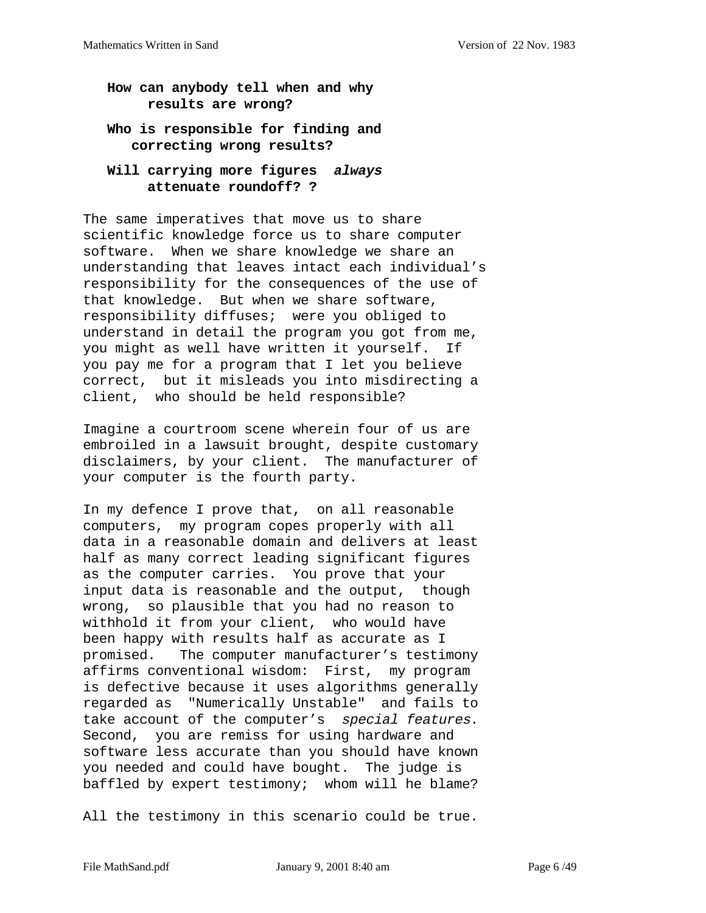## **How can anybody tell when and why results are wrong?**

## **Who is responsible for finding and correcting wrong results?**

### **Will carrying more figures always attenuate roundoff? ?**

The same imperatives that move us to share scientific knowledge force us to share computer software. When we share knowledge we share an understanding that leaves intact each individual's responsibility for the consequences of the use of that knowledge. But when we share software, responsibility diffuses; were you obliged to understand in detail the program you got from me, you might as well have written it yourself. If you pay me for a program that I let you believe correct, but it misleads you into misdirecting a client, who should be held responsible?

Imagine a courtroom scene wherein four of us are embroiled in a lawsuit brought, despite customary disclaimers, by your client. The manufacturer of your computer is the fourth party.

In my defence I prove that, on all reasonable computers, my program copes properly with all data in a reasonable domain and delivers at least half as many correct leading significant figures as the computer carries. You prove that your input data is reasonable and the output, though wrong, so plausible that you had no reason to withhold it from your client, who would have been happy with results half as accurate as I promised. The computer manufacturer's testimony affirms conventional wisdom: First, my program is defective because it uses algorithms generally regarded as "Numerically Unstable" and fails to take account of the computer's special features. Second, you are remiss for using hardware and software less accurate than you should have known you needed and could have bought. The judge is baffled by expert testimony; whom will he blame?

All the testimony in this scenario could be true.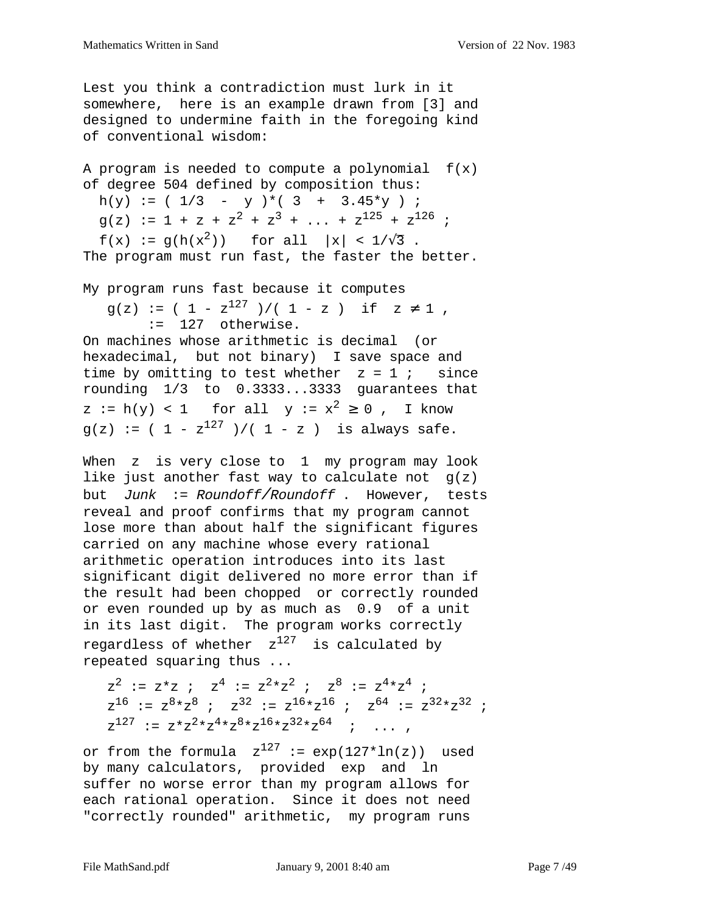Lest you think a contradiction must lurk in it somewhere, here is an example drawn from [3] and designed to undermine faith in the foregoing kind of conventional wisdom:

A program is needed to compute a polynomial  $f(x)$ of degree 504 defined by composition thus: h(y) := (  $1/3$  - y )\*( 3 + 3.45\*y ) ;  $g(z) := 1 + z + z<sup>2</sup> + z<sup>3</sup> + ... + z<sup>125</sup> + z<sup>126</sup>$ ;  $f(x) := g(h(x^2))$  for all  $|x| < 1/\sqrt{3}$ . The program must run fast, the faster the better.

My program runs fast because it computes  $q(z) := (1 - z^{127})/(1 - z)$  if  $z \neq 1$ , := 127 otherwise.

On machines whose arithmetic is decimal (or hexadecimal, but not binary) I save space and time by omitting to test whether  $z = 1$  ; since rounding 1/3 to 0.3333...3333 guarantees that  $z := h(y) < 1$  for all  $y := x^2 \ge 0$ , I know  $q(z) := (1 - z^{127})/(1 - z)$  is always safe.

When z is very close to 1 my program may look like just another fast way to calculate not  $g(z)$ but Junk := Roundoff/Roundoff . However, tests reveal and proof confirms that my program cannot lose more than about half the significant figures carried on any machine whose every rational arithmetic operation introduces into its last significant digit delivered no more error than if the result had been chopped or correctly rounded or even rounded up by as much as 0.9 of a unit in its last digit. The program works correctly regardless of whether  $z^{127}$  is calculated by repeated squaring thus ...

 $z^{2}$  :=  $z * z$  ;  $z^{4}$  :=  $z^{2} * z^{2}$  ;  $z^{8}$  :=  $z^{4} * z^{4}$  ;  $z^{16}$  :=  $z^{8}*z^{8}$  ;  $z^{32}$  :=  $z^{16}*z^{16}$  ;  $z^{64}$  :=  $z^{32}*z^{32}$  ;  $z^{127}$  :=  $z \cdot z^2 \cdot z^4 \cdot z^8 \cdot z^{16} \cdot z^{32} \cdot z^{64}$  ; ...

or from the formula  $z^{127}$  :=  $exp(127*ln(z))$  used by many calculators, provided exp and ln suffer no worse error than my program allows for each rational operation. Since it does not need "correctly rounded" arithmetic, my program runs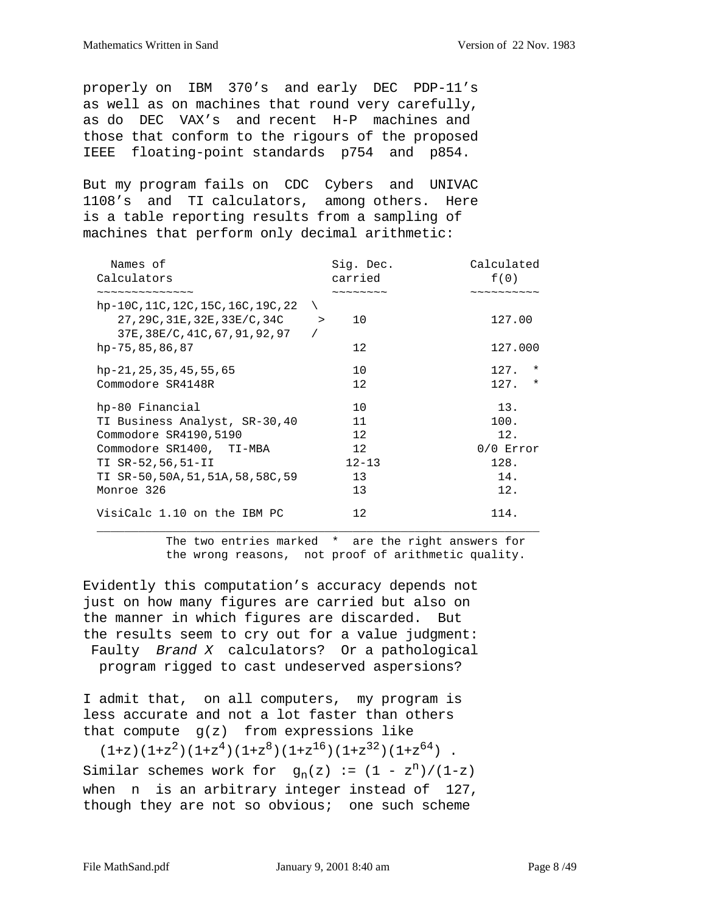properly on IBM 370's and early DEC PDP-11's as well as on machines that round very carefully, as do DEC VAX's and recent H-P machines and those that conform to the rigours of the proposed IEEE floating-point standards p754 and p854.

But my program fails on CDC Cybers and UNIVAC 1108's and TI calculators, among others. Here is a table reporting results from a sampling of machines that perform only decimal arithmetic:

| Names of                                                                                                | Sig. Dec.                      | Calculated                                              |
|---------------------------------------------------------------------------------------------------------|--------------------------------|---------------------------------------------------------|
| Calculators                                                                                             | carried                        | f(0)                                                    |
| ~~~~~~~~~~~~~                                                                                           | $\sim\sim\sim\sim\sim\sim\sim$ | $\sim$ $\sim$ $\sim$ $\sim$ $\sim$ $\sim$ $\sim$ $\sim$ |
| hp-10C, 11C, 12C, 15C, 16C, 19C, 22<br>27, 29C, 31E, 32E, 33E/C, 34C<br>37E, 38E/C, 41C, 67, 91, 92, 97 | 10<br>$\rightarrow$            | 127.00                                                  |
| hp-75,85,86,87                                                                                          | 12.                            | 127.000                                                 |
| hp-21, 25, 35, 45, 55, 65<br>Commodore SR4148R                                                          | 10<br>12.                      | 127.<br>$^\star$<br>127.<br>$^\star$                    |
|                                                                                                         |                                |                                                         |
| hp-80 Financial                                                                                         | 10                             | 13.                                                     |
| TI Business Analyst, SR-30,40                                                                           | 11                             | 100.                                                    |
| Commodore SR4190,5190                                                                                   | 12                             | 12.                                                     |
| Commodore SR1400, TI-MBA                                                                                | 12                             | $0/0$ Error                                             |
| TI SR-52,56,51-II                                                                                       | $12 - 13$                      | 128.                                                    |
| TI SR-50,50A,51,51A,58,58C,59                                                                           | 13                             | 14.                                                     |
| Monroe 326                                                                                              | 13                             | 12.                                                     |
| VisiCalc 1.10 on the IBM PC                                                                             | $12 \,$                        | 114.                                                    |

 The two entries marked \* are the right answers for the wrong reasons, not proof of arithmetic quality.

Evidently this computation's accuracy depends not just on how many figures are carried but also on the manner in which figures are discarded. But the results seem to cry out for a value judgment: Faulty Brand X calculators? Or a pathological program rigged to cast undeserved aspersions?

I admit that, on all computers, my program is less accurate and not a lot faster than others that compute  $g(z)$  from expressions like

 $(1+z)(1+z^2)(1+z^4)(1+z^8)(1+z^{16})(1+z^{32})(1+z^{64})$ . Similar schemes work for  $g_n(z) := (1 - z^n)/(1-z)$ when n is an arbitrary integer instead of 127, though they are not so obvious; one such scheme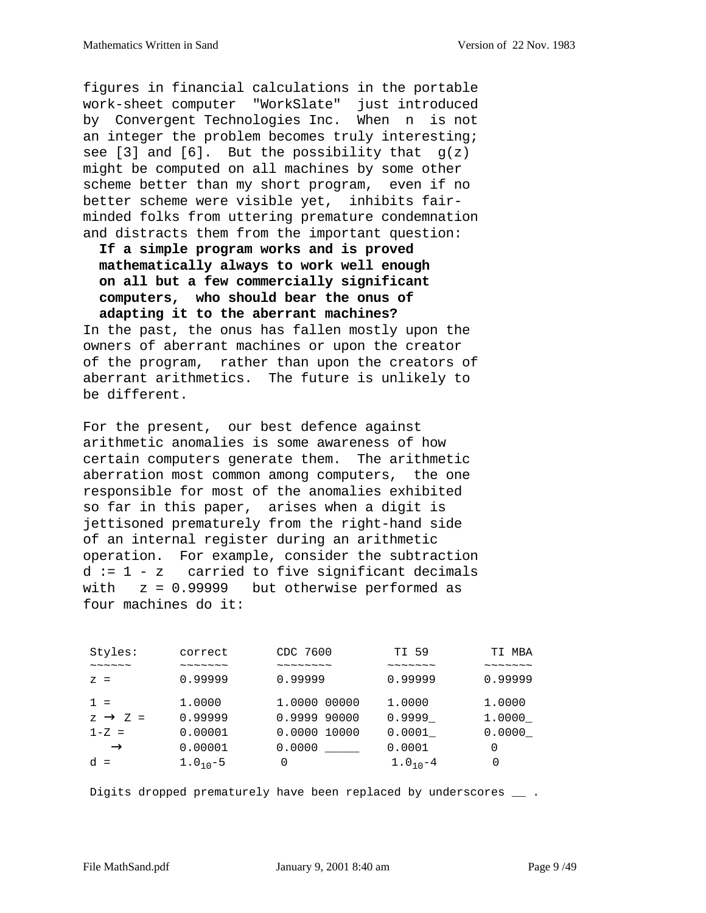figures in financial calculations in the portable work-sheet computer "WorkSlate" just introduced by Convergent Technologies Inc. When n is not an integer the problem becomes truly interesting; see [3] and [6]. But the possibility that  $g(z)$ might be computed on all machines by some other scheme better than my short program, even if no better scheme were visible yet, inhibits fairminded folks from uttering premature condemnation and distracts them from the important question:

 **If a simple program works and is proved mathematically always to work well enough on all but a few commercially significant computers, who should bear the onus of adapting it to the aberrant machines?**

In the past, the onus has fallen mostly upon the owners of aberrant machines or upon the creator of the program, rather than upon the creators of aberrant arithmetics. The future is unlikely to be different.

For the present, our best defence against arithmetic anomalies is some awareness of how certain computers generate them. The arithmetic aberration most common among computers, the one responsible for most of the anomalies exhibited so far in this paper, arises when a digit is jettisoned prematurely from the right-hand side of an internal register during an arithmetic operation. For example, consider the subtraction d := 1 - z carried to five significant decimals with  $z = 0.99999$  but otherwise performed as four machines do it:

| Styles:                            | correct                            | CDC 7600                                  | TI 59                                     | TI MBA                                    |
|------------------------------------|------------------------------------|-------------------------------------------|-------------------------------------------|-------------------------------------------|
| $\sim$ $\sim$ $\sim$ $\sim$ $\sim$ | $\sim$ $\sim$ $\sim$ $\sim$ $\sim$ | $\sim$ $\sim$ $\sim$ $\sim$ $\sim$ $\sim$ | $\sim$ $\sim$ $\sim$ $\sim$ $\sim$ $\sim$ | $\sim$ $\sim$ $\sim$ $\sim$ $\sim$ $\sim$ |
| $Z =$                              | 0.99999                            | 0.99999                                   | 0.99999                                   | 0.99999                                   |
| $1 =$                              | 1.0000                             | 1.0000 00000                              | 1,0000                                    | 1,0000                                    |
| $z \rightarrow z =$                | 0.99999                            | 0.9999 90000                              | 0.9999                                    | 1.0000                                    |
| $1-Z =$                            | 0.00001                            | 0.0000 10000                              | 0.0001                                    | 0.0000                                    |
| $\rightarrow$                      | 0.00001                            | 0.0000                                    | 0.0001                                    | 0                                         |
| $d =$                              | $1.010 - 5$                        | $\left( \right)$                          | $1.010 - 4$                               | $\Omega$                                  |

Digits dropped prematurely have been replaced by underscores \_\_ .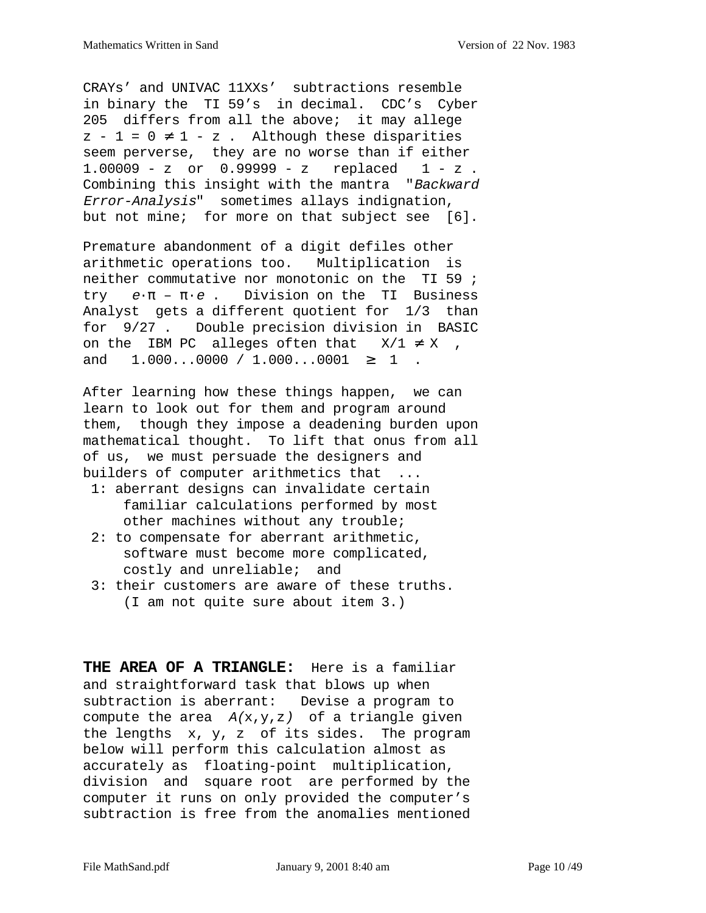CRAYs' and UNIVAC 11XXs' subtractions resemble in binary the TI 59's in decimal. CDC's Cyber 205 differs from all the above; it may allege  $z - 1 = 0 \neq 1 - z$ . Although these disparities seem perverse, they are no worse than if either 1.00009 - z or 0.99999 - z replaced 1 - z . Combining this insight with the mantra "Backward Error-Analysis" sometimes allays indignation, but not mine; for more on that subject see [6].

Premature abandonment of a digit defiles other arithmetic operations too. Multiplication is neither commutative nor monotonic on the TI 59 ; try e·π – π·e . Division on the TI Business Analyst gets a different quotient for 1/3 than for 9/27 . Double precision division in BASIC on the IBM PC alleges often that  $X/1 \neq X$ , and  $1.000...0000 / 1.000...0001 \geq 1$ .

After learning how these things happen, we can learn to look out for them and program around them, though they impose a deadening burden upon mathematical thought. To lift that onus from all of us, we must persuade the designers and builders of computer arithmetics that ...

- 1: aberrant designs can invalidate certain familiar calculations performed by most other machines without any trouble;
- 2: to compensate for aberrant arithmetic, software must become more complicated, costly and unreliable; and
- 3: their customers are aware of these truths. (I am not quite sure about item 3.)

**THE AREA OF A TRIANGLE:** Here is a familiar and straightforward task that blows up when subtraction is aberrant: Devise a program to compute the area  $A(x,y,z)$  of a triangle given the lengths x, y, z of its sides. The program below will perform this calculation almost as accurately as floating-point multiplication, division and square root are performed by the computer it runs on only provided the computer's subtraction is free from the anomalies mentioned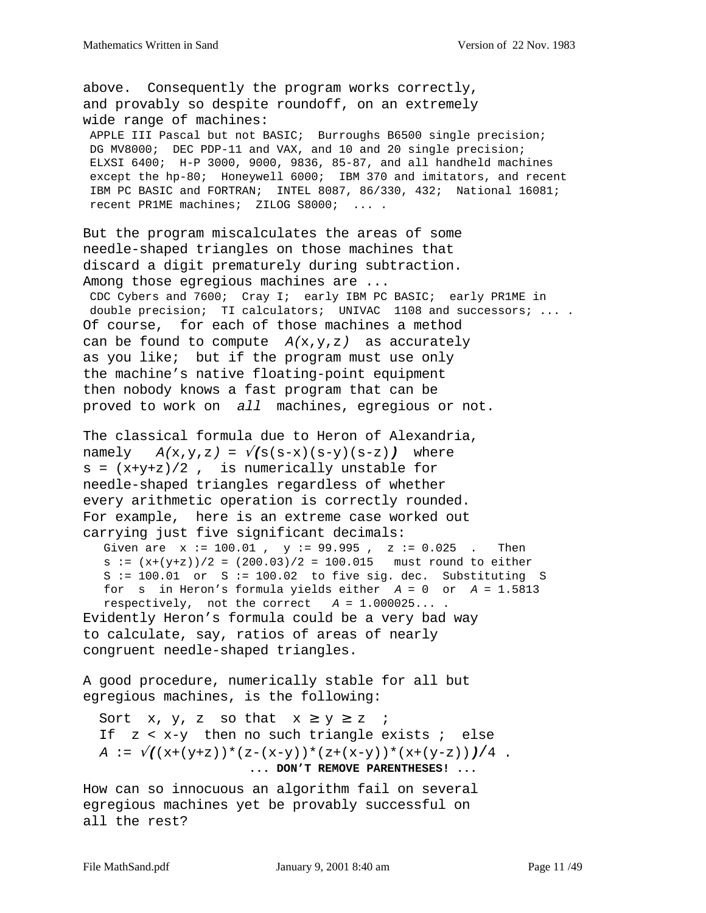above. Consequently the program works correctly, and provably so despite roundoff, on an extremely wide range of machines:

 APPLE III Pascal but not BASIC; Burroughs B6500 single precision; DG MV8000; DEC PDP-11 and VAX, and 10 and 20 single precision; ELXSI 6400; H-P 3000, 9000, 9836, 85-87, and all handheld machines except the hp-80; Honeywell 6000; IBM 370 and imitators, and recent IBM PC BASIC and FORTRAN; INTEL 8087, 86/330, 432; National 16081; recent PR1ME machines; ZILOG S8000; ... .

But the program miscalculates the areas of some needle-shaped triangles on those machines that discard a digit prematurely during subtraction. Among those egregious machines are ...

 CDC Cybers and 7600; Cray I; early IBM PC BASIC; early PR1ME in double precision; TI calculators; UNIVAC 1108 and successors; .... Of course, for each of those machines a method can be found to compute  $A(x,y,z)$  as accurately as you like; but if the program must use only the machine's native floating-point equipment then nobody knows a fast program that can be proved to work on all machines, egregious or not.

The classical formula due to Heron of Alexandria, namely  $A(x,y,z) = \sqrt{(s(s-x)(s-y)(s-z)})$  where  $s = (x+y+z)/2$ , is numerically unstable for needle-shaped triangles regardless of whether every arithmetic operation is correctly rounded. For example, here is an extreme case worked out carrying just five significant decimals:

Given are  $x := 100.01$ ,  $y := 99.995$ ,  $z := 0.025$ . Then  $s := (x+(y+z))/2 = (200.03)/2 = 100.015$  must round to either  $S := 100.01$  or  $S := 100.02$  to five sig. dec. Substituting S for s in Heron's formula yields either  $A = 0$  or  $A = 1.5813$ respectively, not the correct  $A = 1.000025...$ . Evidently Heron's formula could be a very bad way to calculate, say, ratios of areas of nearly congruent needle-shaped triangles.

A good procedure, numerically stable for all but egregious machines, is the following:

Sort x, y, z so that  $x \ge y \ge z$  ; If  $z < x-y$  then no such triangle exists  $i$  else A :=  $\sqrt{(x+(y+z)) * (z-(x-y)) * (z+(x-y)) * (x+(y-z)))/4}$ .  **... DON'T REMOVE PARENTHESES! ...**

How can so innocuous an algorithm fail on several egregious machines yet be provably successful on all the rest?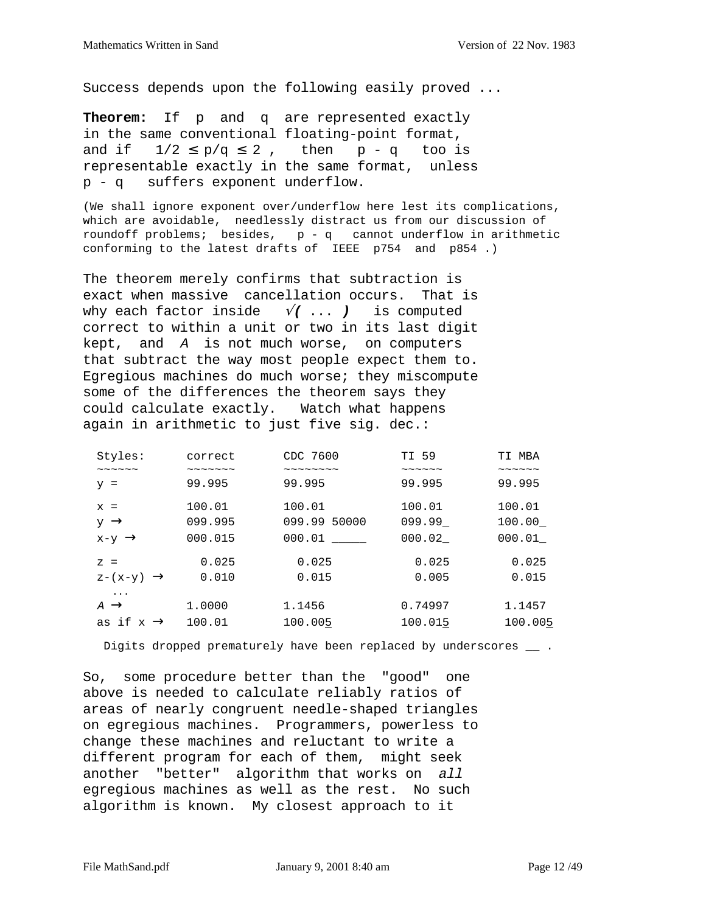Success depends upon the following easily proved ...

**Theorem:** If p and q are represented exactly in the same conventional floating-point format, and if  $1/2 \le p/q \le 2$ , then  $p - q$  too is representable exactly in the same format, unless p - q suffers exponent underflow.

(We shall ignore exponent over/underflow here lest its complications, which are avoidable, needlessly distract us from our discussion of roundoff problems; besides, p - q cannot underflow in arithmetic conforming to the latest drafts of IEEE p754 and p854 .)

The theorem merely confirms that subtraction is exact when massive cancellation occurs. That is why each factor inside √**(** ... **)** is computed correct to within a unit or two in its last digit kept, and A is not much worse, on computers that subtract the way most people expect them to. Egregious machines do much worse; they miscompute some of the differences the theorem says they could calculate exactly. Watch what happens again in arithmetic to just five sig. dec.:

| Styles:                      | correct                        | CDC 7600                       | TI 59                      | TI MBA                         |
|------------------------------|--------------------------------|--------------------------------|----------------------------|--------------------------------|
| $\sim\sim\ \sim\ \sim\ \sim$ | $\sim\sim\sim\sim\sim\sim\sim$ | $\sim\sim\sim\sim\sim\sim\sim$ | $\sim\sim\sim\sim\sim\sim$ | $\sim\,\sim\,\sim\,\sim\,\sim$ |
| $y =$                        | 99.995                         | 99.995                         | 99.995                     | 99.995                         |
| $x =$                        | 100.01                         | 100.01                         | 100.01                     | 100.01                         |
| $y \rightarrow$              | 099.995                        | 099.99 50000                   | 099.99                     | 100.00                         |
| $x-y \rightarrow$            | 000.015                        | 000.01                         | 000.02                     | 000.01                         |
| $Z =$                        | 0.025                          | 0.025                          | 0.025                      | 0.025                          |
| $z-(x-y) \rightarrow$        | 0.010                          | 0.015                          | 0.005                      | 0.015                          |
| $\ddotsc$                    |                                |                                |                            |                                |
| $A \rightarrow$              | 1.0000                         | 1.1456                         | 0.74997                    | 1.1457                         |
| as if x<br>$\rightarrow$     | 100.01                         | 100.005                        | 100.015                    | 100.005                        |

Digits dropped prematurely have been replaced by underscores \_\_ .

So, some procedure better than the "good" one above is needed to calculate reliably ratios of areas of nearly congruent needle-shaped triangles on egregious machines. Programmers, powerless to change these machines and reluctant to write a different program for each of them, might seek another "better" algorithm that works on all egregious machines as well as the rest. No such algorithm is known. My closest approach to it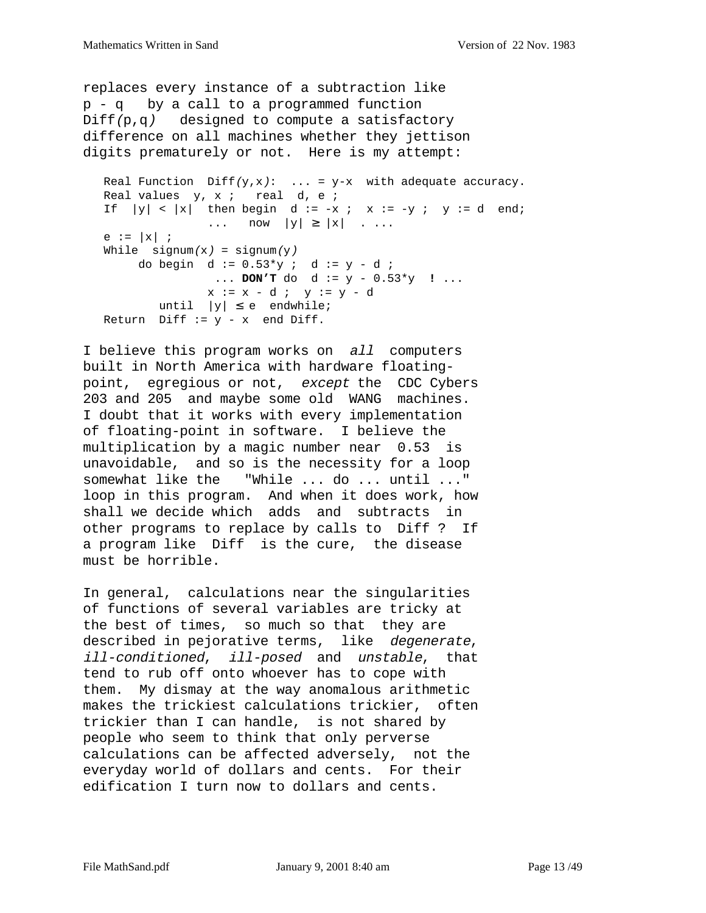```
replaces every instance of a subtraction like
p - q by a call to a programmed function
Diff(p,q) designed to compute a satisfactory
difference on all machines whether they jettison
digits prematurely or not. Here is my attempt:
  Real Function Diff(y,x): ... = y-x with adequate accuracy.
  Real values y, x; real d, e;
  If |y| < |x| then begin d := -x ; x := -y ; y := d end;
                \ldots now |y| \ge |x| . ...
  e := |x| ;
  While sigma(x) = signum(y)do begin d := 0.53*y ; d := y - d ;
                 ... DON'T do d := y - 0.53*y ! ...
               x := x - d ; y := y - duntil |y| \le e endwhile;
  Return Diff := y - x end Diff.
```
I believe this program works on all computers built in North America with hardware floatingpoint, egregious or not, except the CDC Cybers 203 and 205 and maybe some old WANG machines. I doubt that it works with every implementation of floating-point in software. I believe the multiplication by a magic number near 0.53 is unavoidable, and so is the necessity for a loop somewhat like the "While ... do ... until ..." loop in this program. And when it does work, how shall we decide which adds and subtracts in other programs to replace by calls to Diff ? If a program like Diff is the cure, the disease must be horrible.

In general, calculations near the singularities of functions of several variables are tricky at the best of times, so much so that they are described in pejorative terms, like degenerate, ill-conditioned, ill-posed and unstable, that tend to rub off onto whoever has to cope with them. My dismay at the way anomalous arithmetic makes the trickiest calculations trickier, often trickier than I can handle, is not shared by people who seem to think that only perverse calculations can be affected adversely, not the everyday world of dollars and cents. For their edification I turn now to dollars and cents.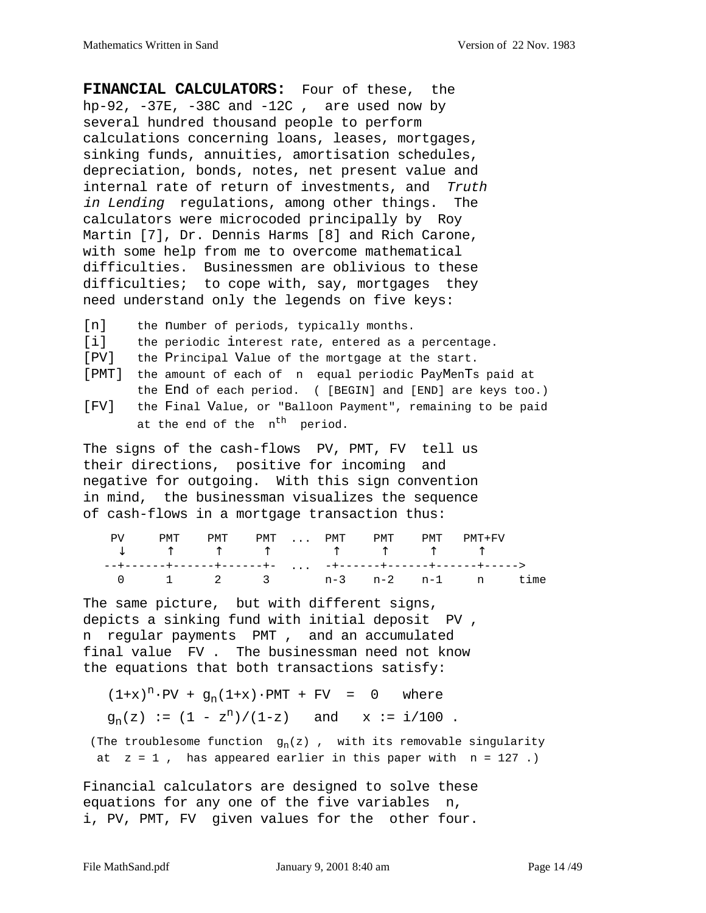**FINANCIAL CALCULATORS:** Four of these, the hp-92,  $-37E$ ,  $-38C$  and  $-12C$ , are used now by several hundred thousand people to perform calculations concerning loans, leases, mortgages, sinking funds, annuities, amortisation schedules, depreciation, bonds, notes, net present value and internal rate of return of investments, and Truth in Lending regulations, among other things. The calculators were microcoded principally by Roy Martin [7], Dr. Dennis Harms [8] and Rich Carone, with some help from me to overcome mathematical difficulties. Businessmen are oblivious to these difficulties; to cope with, say, mortgages they need understand only the legends on five keys:

- [n] the number of periods, typically months.
- [i] the periodic interest rate, entered as a percentage.
- [PV] the Principal Value of the mortgage at the start.
- [PMT] the amount of each of n equal periodic PayMenTs paid at the End of each period. ( [BEGIN] and [END] are keys too.)
- [FV] the Final Value, or "Balloon Payment", remaining to be paid at the end of the n<sup>th</sup> period.

The signs of the cash-flows PV, PMT, FV tell us their directions, positive for incoming and negative for outgoing. With this sign convention in mind, the businessman visualizes the sequence of cash-flows in a mortgage transaction thus:

| PMT |  |  |  | PMT PMT  PMT PMT PMT PMT+FV |  |
|-----|--|--|--|-----------------------------|--|
|     |  |  |  |                             |  |
|     |  |  |  | 0 1 2 3 n-3 n-2 n-1 n time  |  |

The same picture, but with different signs, depicts a sinking fund with initial deposit PV , n regular payments PMT , and an accumulated final value FV . The businessman need not know the equations that both transactions satisfy:

 $(1+x)^n \cdot PV + g_n(1+x) \cdot PMT + FV = 0$  where  $g_n(z) := (1 - z^n) / (1-z)$  and  $x := i/100$ .

(The troublesome function  $g_n(z)$  , with its removable singularity at  $z = 1$ , has appeared earlier in this paper with  $n = 127$ .)

Financial calculators are designed to solve these equations for any one of the five variables n, i, PV, PMT, FV given values for the other four.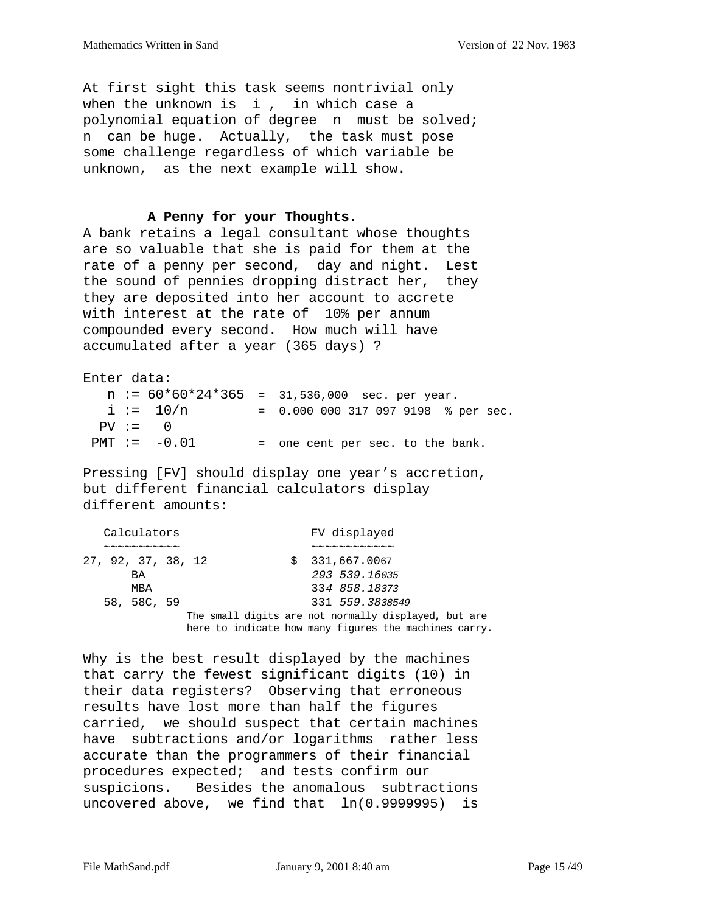At first sight this task seems nontrivial only when the unknown is  $i$ , in which case a polynomial equation of degree n must be solved; n can be huge. Actually, the task must pose some challenge regardless of which variable be unknown, as the next example will show.

#### **A Penny for your Thoughts.**

A bank retains a legal consultant whose thoughts are so valuable that she is paid for them at the rate of a penny per second, day and night. Lest the sound of pennies dropping distract her, they they are deposited into her account to accrete with interest at the rate of 10% per annum compounded every second. How much will have accumulated after a year (365 days) ?

| Enter data: |                |                                                 |
|-------------|----------------|-------------------------------------------------|
|             |                | $n := 60*60*24*365 = 31,536,000$ sec. per year. |
|             | $i := 10/n$    | $= 0.0000003170979198$ % per sec.               |
|             | $PV := 0$      |                                                 |
|             | $PMT := -0.01$ | = one cent per sec. to the bank.                |

Pressing [FV] should display one year's accretion, but different financial calculators display different amounts:

| Calculators        |   | FV displayed                                          |
|--------------------|---|-------------------------------------------------------|
| ~~~~~~~~~~         |   |                                                       |
| 27, 92, 37, 38, 12 | S | 331,667.0067                                          |
| BA                 |   | 293 539.16035                                         |
| MBA                |   | 334 858.18373                                         |
| 58, 58C, 59        |   | 331 559.3838549                                       |
|                    |   | The small digits are not normally displayed, but are  |
|                    |   | here to indicate how many figures the machines carry. |

Why is the best result displayed by the machines that carry the fewest significant digits (10) in their data registers? Observing that erroneous results have lost more than half the figures carried, we should suspect that certain machines have subtractions and/or logarithms rather less accurate than the programmers of their financial procedures expected; and tests confirm our suspicions. Besides the anomalous subtractions uncovered above, we find that ln(0.9999995) is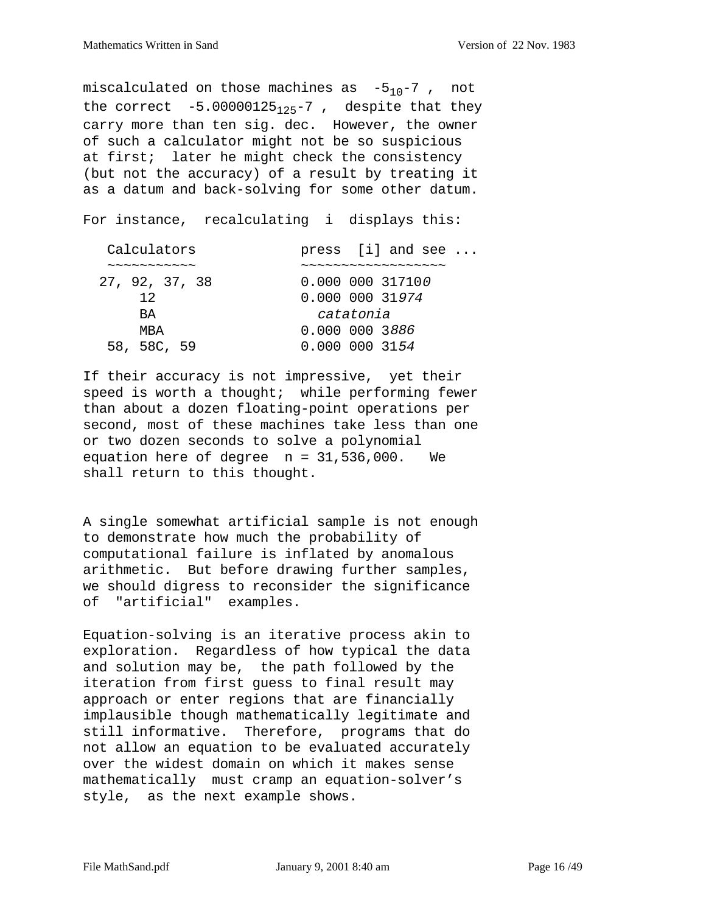miscalculated on those machines as  $-5_{10}-7$ , not the correct  $-5.00000125_{125}-7$ , despite that they carry more than ten sig. dec. However, the owner of such a calculator might not be so suspicious at first; later he might check the consistency (but not the accuracy) of a result by treating it as a datum and back-solving for some other datum.

For instance, recalculating i displays this:

| Calculators                                | press $[i]$ and see                                            |
|--------------------------------------------|----------------------------------------------------------------|
| $\sim\sim\sim\sim\sim\sim\sim\sim\sim\sim$ | $\sim\sim\sim\sim\sim\sim\sim\sim\sim\sim\sim\sim\sim\sim\sim$ |
| 27, 92, 37, 38                             | 0.000 000 317100                                               |
| 12                                         | 0.000 000 31 <i>974</i>                                        |
| BA.                                        | catatonia                                                      |
| MBA                                        | 0.000 000 3886                                                 |
| 58, 58C, 59                                | 0.000 000 3154                                                 |

If their accuracy is not impressive, yet their speed is worth a thought; while performing fewer than about a dozen floating-point operations per second, most of these machines take less than one or two dozen seconds to solve a polynomial equation here of degree  $n = 31,536,000$ . We shall return to this thought.

A single somewhat artificial sample is not enough to demonstrate how much the probability of computational failure is inflated by anomalous arithmetic. But before drawing further samples, we should digress to reconsider the significance of "artificial" examples.

Equation-solving is an iterative process akin to exploration. Regardless of how typical the data and solution may be, the path followed by the iteration from first guess to final result may approach or enter regions that are financially implausible though mathematically legitimate and still informative. Therefore, programs that do not allow an equation to be evaluated accurately over the widest domain on which it makes sense mathematically must cramp an equation-solver's style, as the next example shows.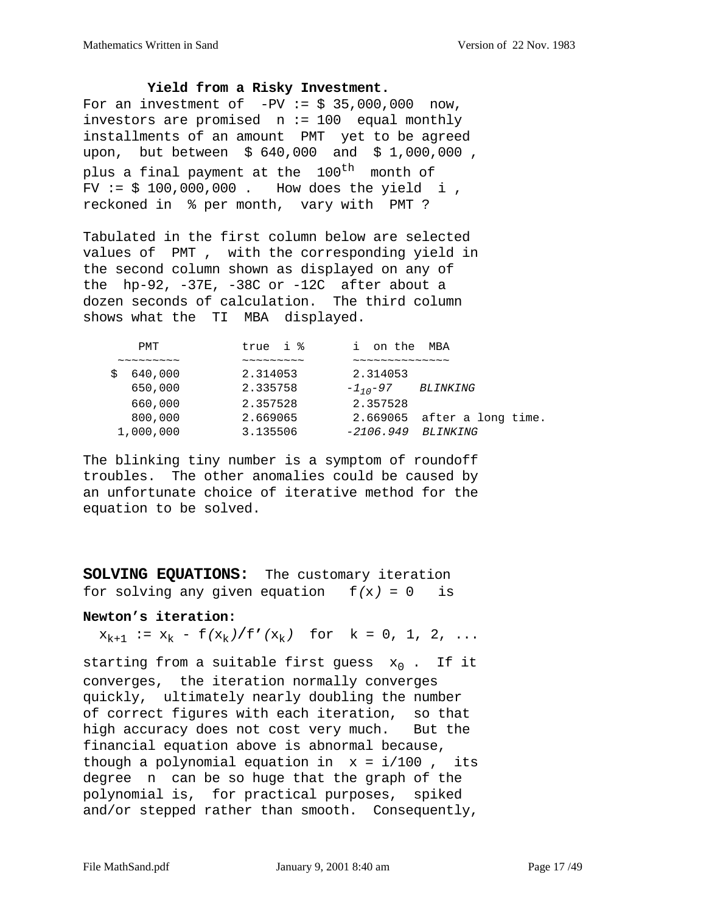**Yield from a Risky Investment.**

For an investment of  $-PV := $ 35,000,000$  now, investors are promised n := 100 equal monthly installments of an amount PMT yet to be agreed upon, but between \$ 640,000 and \$ 1,000,000 , plus a final payment at the 100<sup>th</sup> month of FV :=  $$100,000,000$ . How does the yield i, reckoned in % per month, vary with PMT ?

Tabulated in the first column below are selected values of PMT , with the corresponding yield in the second column shown as displayed on any of the hp-92, -37E, -38C or -12C after about a dozen seconds of calculation. The third column shows what the TI MBA displayed.

| true i %                                         | on the MBA                    |
|--------------------------------------------------|-------------------------------|
| $\sim$ $\sim$ $\sim$ $\sim$ $\sim$ $\sim$ $\sim$ | $\sim$ ~~~~~~~~~~~~           |
| 2.314053                                         | 2.314053                      |
| 2.335758                                         | $-1, -97$<br><i>BLINKING</i>  |
| 2.357528                                         | 2.357528                      |
| 2.669065                                         | $2.669065$ after a long time. |
| 3.135506                                         | $-2106.949$<br>BLINKING       |
|                                                  |                               |

The blinking tiny number is a symptom of roundoff troubles. The other anomalies could be caused by an unfortunate choice of iterative method for the equation to be solved.

**SOLVING EQUATIONS:** The customary iteration for solving any given equation  $f(x) = 0$  is

#### **Newton's iteration:**

 $x_{k+1} := x_k - f(x_k)/f'(x_k)$  for  $k = 0, 1, 2, ...$ 

starting from a suitable first guess  $x_0$ . If it converges, the iteration normally converges quickly, ultimately nearly doubling the number of correct figures with each iteration, so that high accuracy does not cost very much. But the financial equation above is abnormal because, though a polynomial equation in  $x = i/100$ , its degree n can be so huge that the graph of the polynomial is, for practical purposes, spiked and/or stepped rather than smooth. Consequently,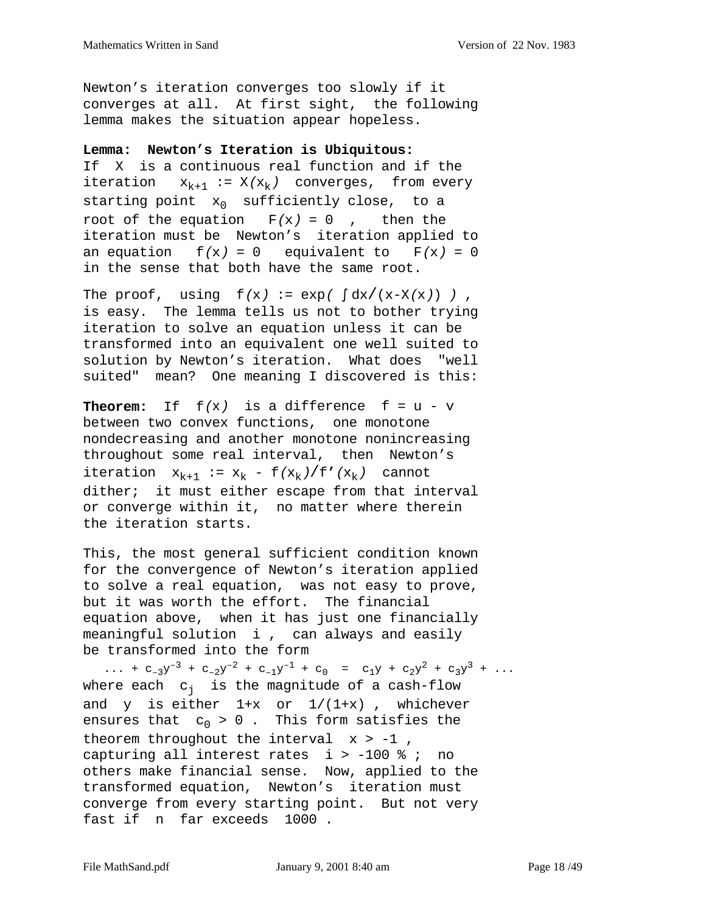Newton's iteration converges too slowly if it converges at all. At first sight, the following lemma makes the situation appear hopeless.

#### **Lemma: Newton's Iteration is Ubiquitous:**

If X is a continuous real function and if the iteration  $x_{k+1} := X(x_k)$  converges, from every starting point  $x_0$  sufficiently close, to a root of the equation  $F(x) = 0$ , then the iteration must be Newton's iteration applied to an equation  $f(x) = 0$  equivalent to  $F(x) = 0$ in the sense that both have the same root.

The proof, using  $f(x) := exp(\int dx/(x-X(x)))$ , is easy. The lemma tells us not to bother trying iteration to solve an equation unless it can be transformed into an equivalent one well suited to solution by Newton's iteration. What does "well suited" mean? One meaning I discovered is this:

**Theorem:** If  $f(x)$  is a difference  $f = u - v$ between two convex functions, one monotone nondecreasing and another monotone nonincreasing throughout some real interval, then Newton's iteration  $x_{k+1} := x_k - f(x_k) / f'(x_k)$  cannot dither; it must either escape from that interval or converge within it, no matter where therein the iteration starts.

This, the most general sufficient condition known for the convergence of Newton's iteration applied to solve a real equation, was not easy to prove, but it was worth the effort. The financial equation above, when it has just one financially meaningful solution i , can always and easily be transformed into the form

... +  $c_{-3}y^{-3}$  +  $c_{-2}y^{-2}$  +  $c_{-1}y^{-1}$  +  $c_0$  =  $c_{1}y$  +  $c_{2}y^{2}$  +  $c_{3}y^{3}$  + ... where each  $c_i$  is the magnitude of a cash-flow and  $y$  is either  $1+x$  or  $1/(1+x)$ , whichever ensures that  $c_0 > 0$ . This form satisfies the theorem throughout the interval  $x > -1$ , capturing all interest rates  $i > -100$  % ; no others make financial sense. Now, applied to the transformed equation, Newton's iteration must converge from every starting point. But not very fast if n far exceeds 1000 .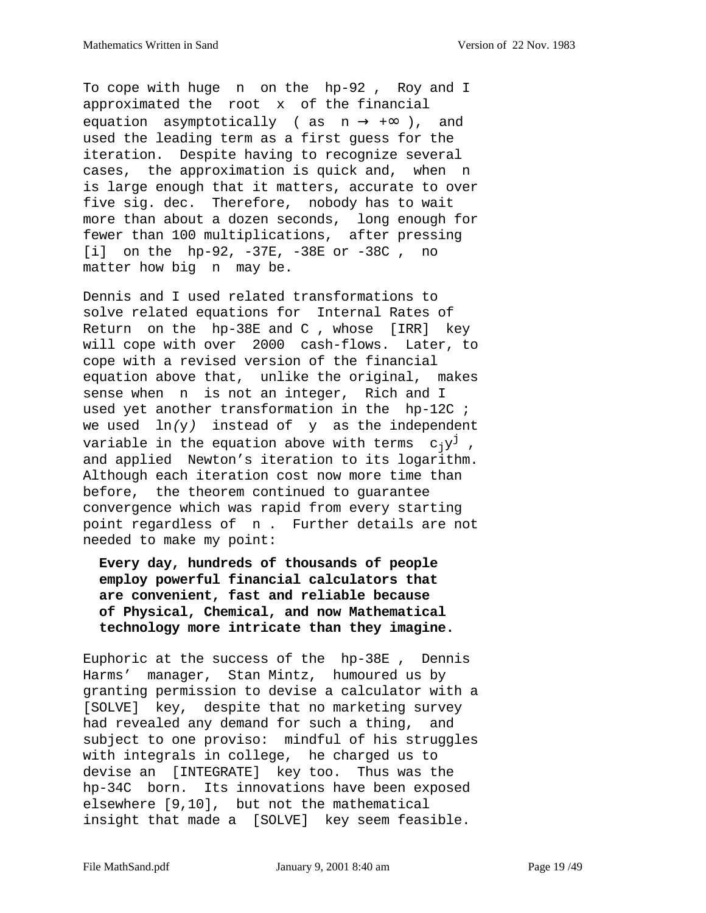To cope with huge n on the hp-92 , Roy and I approximated the root x of the financial equation asymptotically ( as  $n \rightarrow +\infty$  ), and used the leading term as a first guess for the iteration. Despite having to recognize several cases, the approximation is quick and, when n is large enough that it matters, accurate to over five sig. dec. Therefore, nobody has to wait more than about a dozen seconds, long enough for fewer than 100 multiplications, after pressing [i] on the hp-92, -37E, -38E or -38C , no matter how big n may be.

Dennis and I used related transformations to solve related equations for Internal Rates of Return on the hp-38E and C , whose [IRR] key will cope with over 2000 cash-flows. Later, to cope with a revised version of the financial equation above that, unlike the original, makes sense when n is not an integer, Rich and I used yet another transformation in the hp-12C ; we used  $ln(y)$  instead of  $y$  as the independent variable in the equation above with terms  $c_jy^j$ , and applied Newton's iteration to its logarithm. Although each iteration cost now more time than before, the theorem continued to guarantee convergence which was rapid from every starting point regardless of n . Further details are not needed to make my point:

 **Every day, hundreds of thousands of people employ powerful financial calculators that are convenient, fast and reliable because of Physical, Chemical, and now Mathematical technology more intricate than they imagine.**

Euphoric at the success of the hp-38E , Dennis Harms' manager, Stan Mintz, humoured us by granting permission to devise a calculator with a [SOLVE] key, despite that no marketing survey had revealed any demand for such a thing, and subject to one proviso: mindful of his struggles with integrals in college, he charged us to devise an [INTEGRATE] key too. Thus was the hp-34C born. Its innovations have been exposed elsewhere [9,10], but not the mathematical insight that made a [SOLVE] key seem feasible.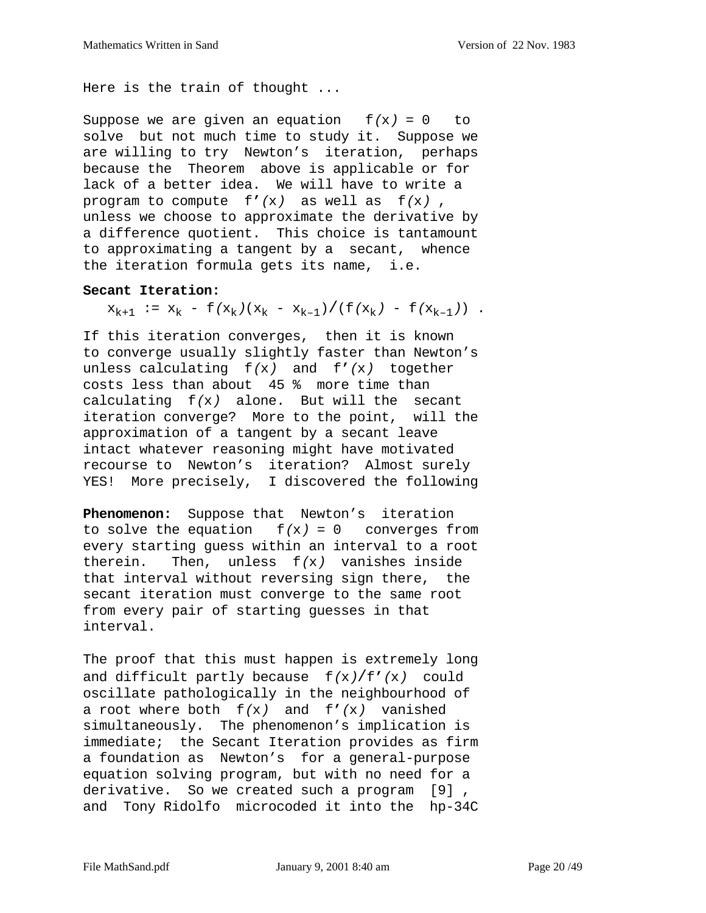Here is the train of thought ...

Suppose we are given an equation  $f(x) = 0$  to solve but not much time to study it. Suppose we are willing to try Newton's iteration, perhaps because the Theorem above is applicable or for lack of a better idea. We will have to write a program to compute f**'**(x) as well as f(x) , unless we choose to approximate the derivative by a difference quotient. This choice is tantamount to approximating a tangent by a secant, whence the iteration formula gets its name, i.e.

#### **Secant Iteration:**

 $x_{k+1}$  :=  $x_k$  -  $f(x_k)(x_k - x_{k-1})/(f(x_k) - f(x_{k-1}))$ .

If this iteration converges, then it is known to converge usually slightly faster than Newton's unless calculating f(x) and f**'**(x) together costs less than about 45 % more time than calculating f(x) alone. But will the secant iteration converge? More to the point, will the approximation of a tangent by a secant leave intact whatever reasoning might have motivated recourse to Newton's iteration? Almost surely YES! More precisely, I discovered the following

**Phenomenon:** Suppose that Newton's iteration to solve the equation  $f(x) = 0$  converges from every starting guess within an interval to a root therein. Then, unless  $f(x)$  vanishes inside that interval without reversing sign there, the secant iteration must converge to the same root from every pair of starting guesses in that interval.

The proof that this must happen is extremely long and difficult partly because f(x)/f**'**(x) could oscillate pathologically in the neighbourhood of a root where both f(x) and f**'**(x) vanished simultaneously. The phenomenon's implication is immediate; the Secant Iteration provides as firm a foundation as Newton's for a general-purpose equation solving program, but with no need for a derivative. So we created such a program [9] , and Tony Ridolfo microcoded it into the hp-34C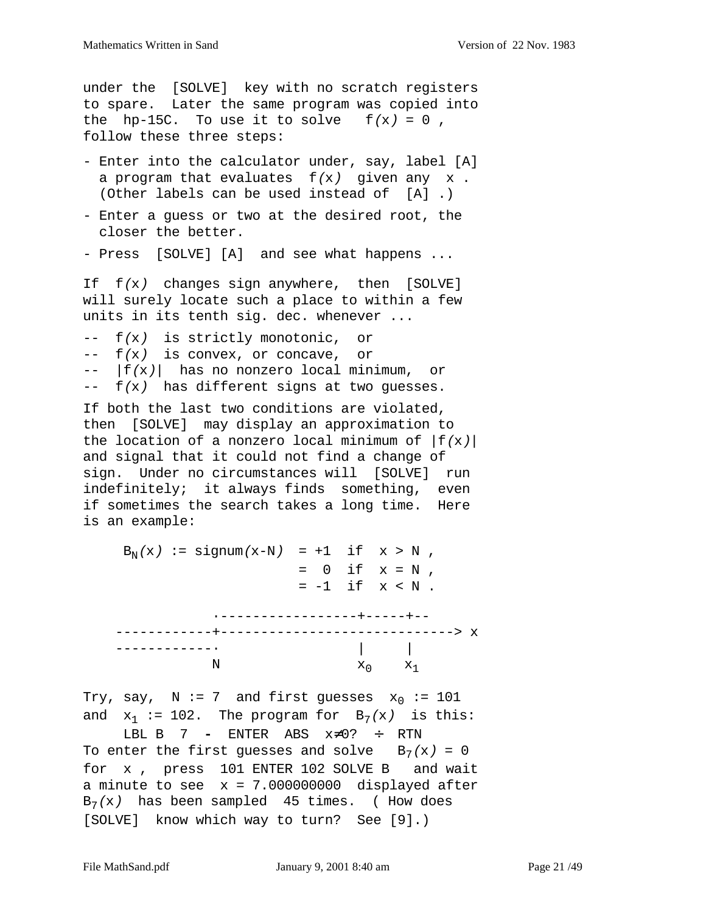```
under the [SOLVE] key with no scratch registers
to spare. Later the same program was copied into
the hp-15C. To use it to solve f(x) = 0,
follow these three steps:
- Enter into the calculator under, say, label [A]
 a program that evaluates f(x) given any x.
  (Other labels can be used instead of [A] .)
- Enter a guess or two at the desired root, the
  closer the better.
- Press [SOLVE] [A] and see what happens ...
If f(x) changes sign anywhere, then [SOLVE]
will surely locate such a place to within a few
units in its tenth sig. dec. whenever ...
-- f(x) is strictly monotonic, or
-- f(x) is convex, or concave, or
- |f(x)| has no nonzero local minimum, or
-- f(x) has different signs at two guesses.
If both the last two conditions are violated,
then [SOLVE] may display an approximation to
the location of a nonzero local minimum of |f(x)|and signal that it could not find a change of
sign. Under no circumstances will [SOLVE] run
indefinitely; it always finds something, even
if sometimes the search takes a long time. Here
is an example:
    B_N(x) := \text{signum}(x-N) = +1 \text{ if } x > N,
                         = 0 if x = N,
                         = -1 if x < N.
                ·-----------------+-----+--
    ------------+-----------------------------> x
    ------------· | |
N x_0 x_1
```
Try, say, N := 7 and first guesses  $x_0$  := 101 and  $x_1 := 102$ . The program for  $B_7(x)$  is this:

 LBL B 7 **-** ENTER ABS x≠0? ÷ RTN To enter the first guesses and solve  $B_7(x) = 0$ for x , press 101 ENTER 102 SOLVE B and wait a minute to see  $x = 7.000000000$  displayed after  $B_7(x)$  has been sampled 45 times. (How does [SOLVE] know which way to turn? See [9].)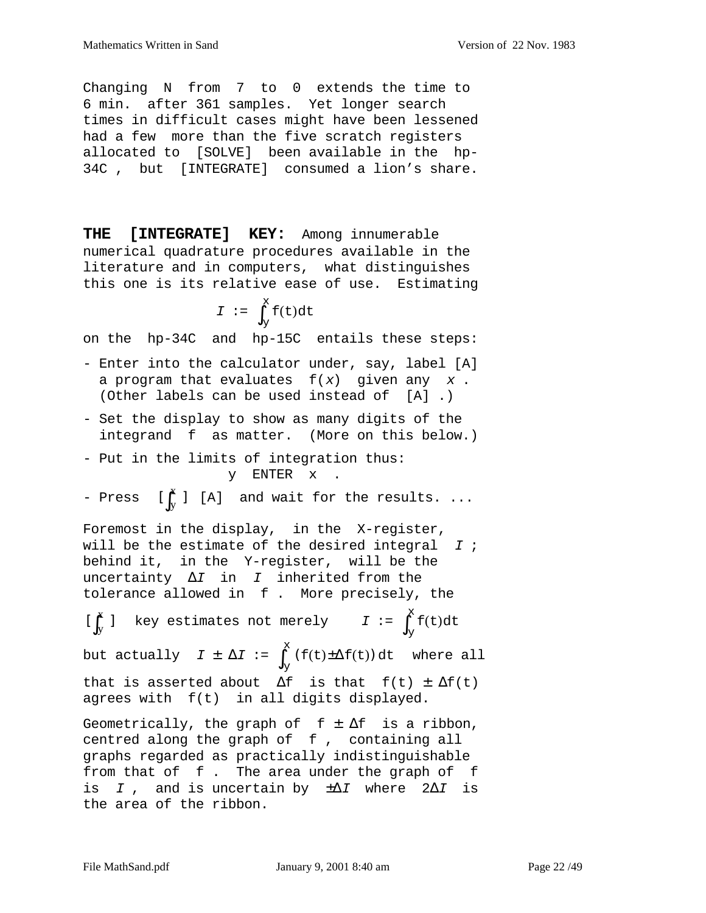Changing N from 7 to 0 extends the time to 6 min. after 361 samples. Yet longer search times in difficult cases might have been lessened had a few more than the five scratch registers allocated to [SOLVE] been available in the hp-34C , but [INTEGRATE] consumed a lion's share.

**THE [INTEGRATE] KEY:** Among innumerable numerical quadrature procedures available in the literature and in computers, what distinguishes this one is its relative ease of use. Estimating

$$
I := \int_{Y}^{x} f(t) dt
$$

on the hp-34C and hp-15C entails these steps:

- Enter into the calculator under, say, label [A] a program that evaluates  $f(x)$  given any  $x$ . (Other labels can be used instead of [A] .)
- Set the display to show as many digits of the integrand f as matter. (More on this below.)
- Put in the limits of integration thus: y ENTER x .

- Press 
$$
\begin{bmatrix} \int_{y}^{x} \end{bmatrix}
$$
 [A] and wait for the results. ...

Foremost in the display, in the X-register, will be the estimate of the desired integral  $I$  ; behind it, in the Y-register, will be the uncertainty  $\Delta I$  in *I* inherited from the tolerance allowed in f . More precisely, the

 key estimates not merely I := y but actually  $I \pm \Delta I := \int (f(t) \pm \Delta f(t)) dt$  where all that is asserted about  $\Delta f$  is that  $f(t) \pm \Delta f(t)$ agrees with f(t) in all digits displayed.  $[\int_{y}^{x} ]$  key estimates not merely  $I := \int_{y}^{x} f(t) dt$  $\int_{V}^{X}$ y  $\int_{v}^{x}$ 

Geometrically, the graph of  $f \pm \Delta f$  is a ribbon, centred along the graph of f , containing all graphs regarded as practically indistinguishable from that of f . The area under the graph of f is I, and is uncertain by  $\pm \Delta I$  where 2 $\Delta I$  is the area of the ribbon.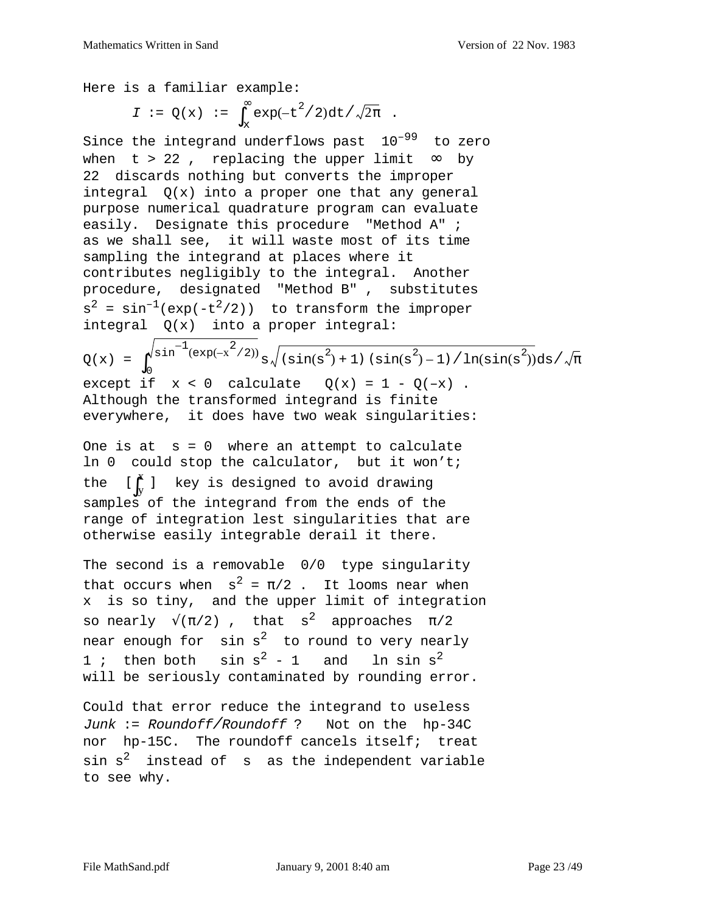Here is a familiar example:

$$
I := Q(x) := \int_x^{\infty} \exp(-t^2/2) dt / \sqrt{2\pi} .
$$

Since the integrand underflows past  $10^{-99}$  to zero when t > 22, replacing the upper limit  $\infty$  by 22 discards nothing but converts the improper integral  $Q(x)$  into a proper one that any general purpose numerical quadrature program can evaluate easily. Designate this procedure "Method A" ; as we shall see, it will waste most of its time sampling the integrand at places where it contributes negligibly to the integral. Another procedure, designated "Method B" , substitutes  $s^2 = \sin^{-1}(\exp(-t^2/2))$  to transform the improper integral Q(x) into a proper integral:

 $Q(x) = \int_0^{\sqrt{\sin^{-1}(\exp(-x^2/2))}} s \sqrt{\sin(s^2) + 1} \sin(s^2) - 1 / \ln(\sin(s^2)) ds$ except if  $x < 0$  calculate  $Q(x) = 1 - Q(-x)$ . Although the transformed integrand is finite everywhere, it does have two weak singularities:  $\sin^{-1}(\exp(-x^2/2))$  $\int_0^{\sqrt{\sin}} \frac{(\exp(-x^{-}/2))}{\sin(x^{-})} s \sqrt{\sin(x^{-})} + 1) \left( \sin(x^{-}) - 1 \right) / \ln(\sin(x^{-})) ds / \sqrt{\pi}$ 

One is at  $s = 0$  where an attempt to calculate ln 0 could stop the calculator, but it won't; the  $\left[\int_{v}^{x} \right]$  key is designed to avoid drawing samples of the integrand from the ends of the range of integration lest singularities that are otherwise easily integrable derail it there. y  $\iint_{y}^{x}$  ]

The second is a removable 0/0 type singularity that occurs when  $s^2 = \pi/2$ . It looms near when x is so tiny, and the upper limit of integration so nearly  $\sqrt{\pi/2}$ , that s<sup>2</sup> approaches  $\pi/2$ near enough for  $sin s<sup>2</sup>$  to round to very nearly 1; then both  $sin s^2 - 1$  and  $ln sin s^2$ will be seriously contaminated by rounding error.

Could that error reduce the integrand to useless Junk := Roundoff/Roundoff ? Not on the hp-34C nor hp-15C. The roundoff cancels itself; treat  $\sin s^2$  instead of  $s$  as the independent variable to see why.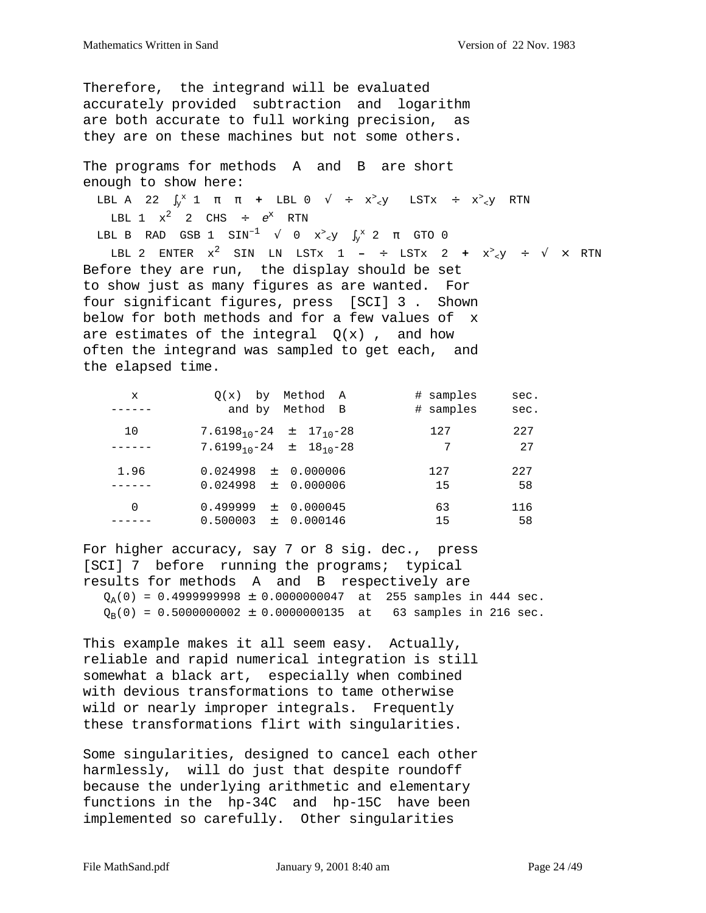Therefore, the integrand will be evaluated accurately provided subtraction and logarithm are both accurate to full working precision, as they are on these machines but not some others.

The programs for methods A and B are short enough to show here:

LBL A 22  $\int_Y^x 1 \pi \pi +$  LBL 0  $\sqrt{+} x^2$ <sub><</sub>y LSTx ÷ x<sup>2</sup><sub><</sub>y RTN LBL  $1 \times^2$  2 CHS ÷  $e^x$  RTN LBL B RAD GSB 1  $\text{SIN}^{-1}$   $\sqrt{0}$   $\text{x}^3$ <sub><</sub>y  $\int_{\text{y}}^{x}$  2  $\pi$  GTO 0 LBL 2 ENTER  $x^2$  SIN LN LSTx 1 – ÷ LSTx 2 +  $x^2 \times y$  ÷  $\sqrt{x}$  RTN Before they are run, the display should be set to show just as many figures as are wanted. For four significant figures, press [SCI] 3 . Shown below for both methods and for a few values of x are estimates of the integral  $Q(x)$ , and how

often the integrand was sampled to get each, and the elapsed time.

| X        | $O(x)$ by<br>Method A                               | # samples | sec. |
|----------|-----------------------------------------------------|-----------|------|
|          | and by Method B                                     | # samples | sec. |
| 10       | 7.6198 <sub>10</sub> -24 ± 17 <sub>10</sub> -28     | 127       | 227  |
|          | 7.6199 <sub>10</sub> -24 $\pm$ 18 <sub>10</sub> -28 | 7         | 27   |
| 1.96     | $0.024998 \pm 0.000006$                             | 127       | 227  |
|          | $0.024998 \pm 0.000006$                             | 15        | 58   |
| $\Omega$ | 0.499999<br>$\pm$ 0.000045                          | 63        | 116  |
|          | $0.500003 \pm 0.000146$                             | 15        | 58   |

For higher accuracy, say 7 or 8 sig. dec., press [SCI] 7 before running the programs; typical results for methods A and B respectively are  $Q_A(0) = 0.4999999998 \pm 0.0000000047$  at 255 samples in 444 sec.  $Q_B(0) = 0.5000000002 \pm 0.0000000135$  at 63 samples in 216 sec.

This example makes it all seem easy. Actually, reliable and rapid numerical integration is still somewhat a black art, especially when combined with devious transformations to tame otherwise wild or nearly improper integrals. Frequently these transformations flirt with singularities.

Some singularities, designed to cancel each other harmlessly, will do just that despite roundoff because the underlying arithmetic and elementary functions in the hp-34C and hp-15C have been implemented so carefully. Other singularities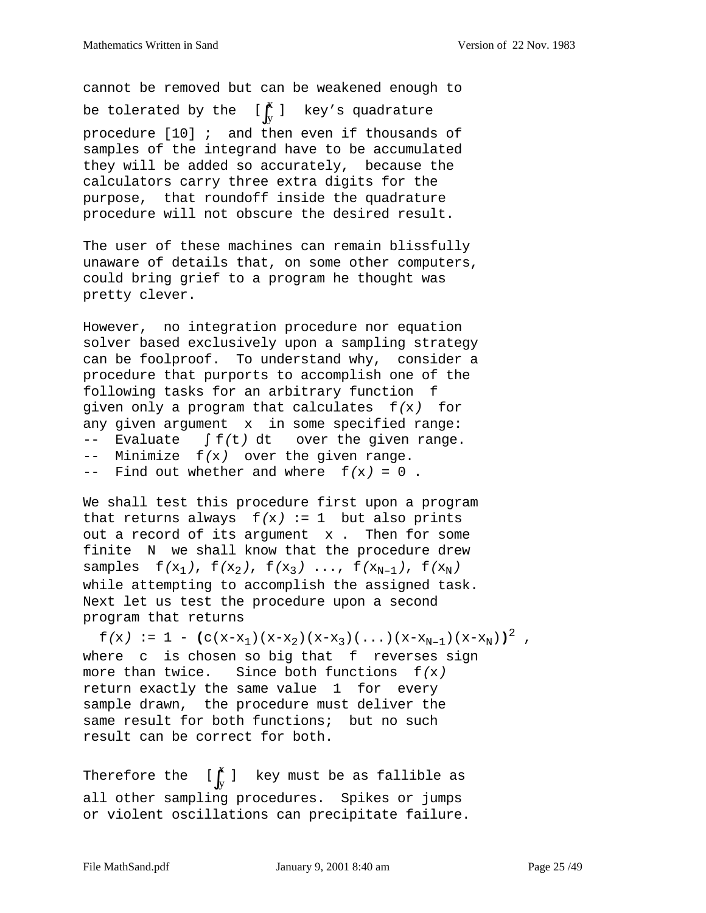cannot be removed but can be weakened enough to be tolerated by the  $\begin{bmatrix} \begin{bmatrix} \begin{smallmatrix} x \\ y \end{smallmatrix} \end{bmatrix}$  key's quadrature procedure [10] ; and then even if thousands of samples of the integrand have to be accumulated they will be added so accurately, because the calculators carry three extra digits for the purpose, that roundoff inside the quadrature procedure will not obscure the desired result. y  $\iint_{y}^{x}$  ]

The user of these machines can remain blissfully unaware of details that, on some other computers, could bring grief to a program he thought was pretty clever.

However, no integration procedure nor equation solver based exclusively upon a sampling strategy can be foolproof. To understand why, consider a procedure that purports to accomplish one of the following tasks for an arbitrary function f given only a program that calculates  $f(x)$  for any given argument x in some specified range: -- Evaluate ∫ f(t) dt over the given range.  $--$  Minimize  $f(x)$  over the given range.  $--$  Find out whether and where  $f(x) = 0$ .

We shall test this procedure first upon a program that returns always  $f(x) := 1$  but also prints out a record of its argument x . Then for some finite N we shall know that the procedure drew samples  $f(x_1)$ ,  $f(x_2)$ ,  $f(x_3)$  ...,  $f(x_{N-1})$ ,  $f(x_N)$ while attempting to accomplish the assigned task. Next let us test the procedure upon a second program that returns

 $f(x) := 1 - (c(x-x_1)(x-x_2)(x-x_3)(...)(x-x_{N-1})(x-x_N))^2$ where c is chosen so big that f reverses sign more than twice. Since both functions  $f(x)$ return exactly the same value 1 for every sample drawn, the procedure must deliver the same result for both functions; but no such result can be correct for both.

key must be as fallible as all other sampling procedures. Spikes or jumps or violent oscillations can precipitate failure. y  $\left[\int_{y}^{x} \right]$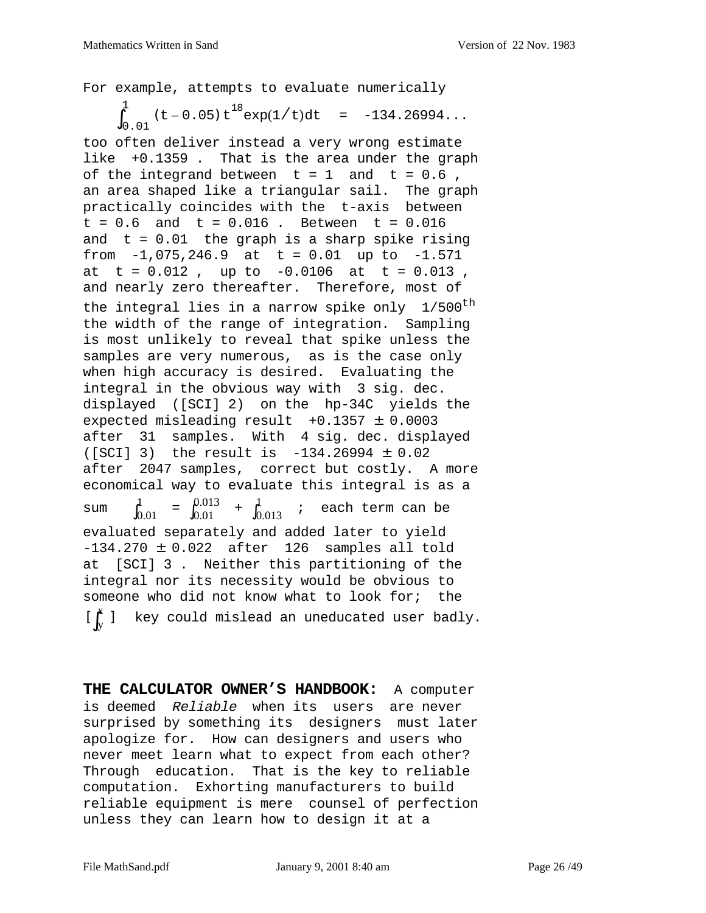For example, attempts to evaluate numerically

$$
\int_{0.01}^{1} (t - 0.05) t^{18} \exp(1/t) dt = -134.26994...
$$

too often deliver instead a very wrong estimate like +0.1359 . That is the area under the graph of the integrand between  $t = 1$  and  $t = 0.6$ , an area shaped like a triangular sail. The graph practically coincides with the t-axis between  $t = 0.6$  and  $t = 0.016$ . Between  $t = 0.016$ and  $t = 0.01$  the graph is a sharp spike rising from  $-1,075,246.9$  at t = 0.01 up to  $-1.571$ at  $t = 0.012$ , up to  $-0.0106$  at  $t = 0.013$ , and nearly zero thereafter. Therefore, most of the integral lies in a narrow spike only  $1/500$ <sup>th</sup> the width of the range of integration. Sampling is most unlikely to reveal that spike unless the samples are very numerous, as is the case only when high accuracy is desired. Evaluating the integral in the obvious way with 3 sig. dec. displayed ([SCI] 2) on the hp-34C yields the expected misleading result  $+0.1357 \pm 0.0003$ after 31 samples. With 4 sig. dec. displayed  $([SCI] 3)$  the result is  $-134.26994 \pm 0.02$ after 2047 samples, correct but costly. A more economical way to evaluate this integral is as a sum  $\int_{0.01}^{1}$  =  $\int_{0.01}^{0.013}$  +  $\int_{0.013}^{1}$  ; each term can be evaluated separately and added later to yield  $-134.270 \pm 0.022$  after 126 samples all told at [SCI] 3 . Neither this partitioning of the integral nor its necessity would be obvious to someone who did not know what to look for; the key could mislead an uneducated user badly.  $\int_{0.01}^{1} = \int_{0.01}^{0.013} + \int_{0.013}^{1}$ y  $\left[\int_{y}^{x} \right]$ 

**THE CALCULATOR OWNER'S HANDBOOK:** A computer is deemed Reliable when its users are never surprised by something its designers must later apologize for. How can designers and users who never meet learn what to expect from each other? Through education. That is the key to reliable computation. Exhorting manufacturers to build reliable equipment is mere counsel of perfection unless they can learn how to design it at a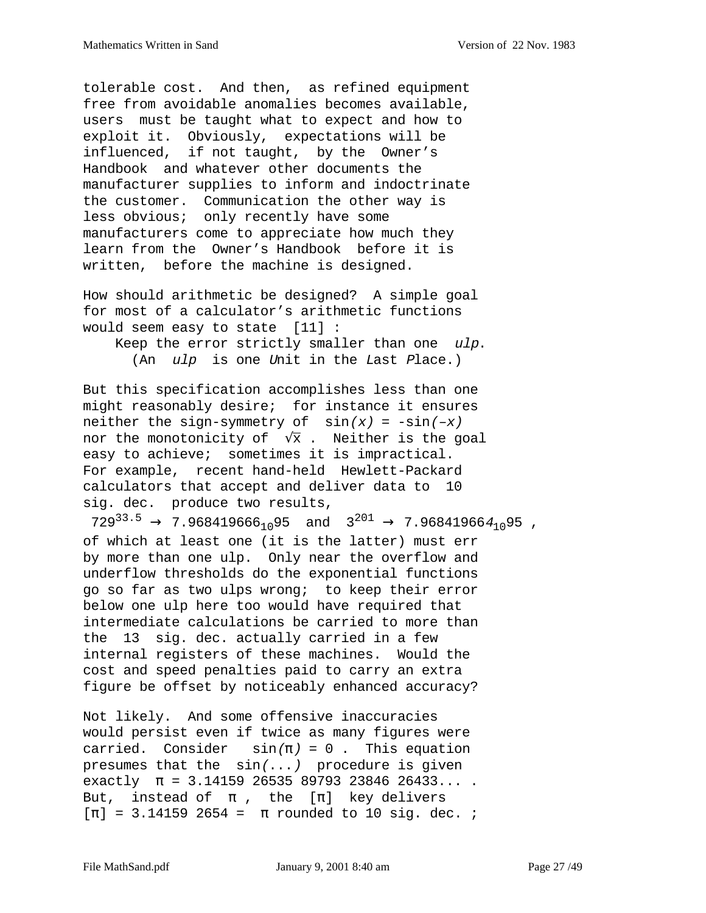tolerable cost. And then, as refined equipment free from avoidable anomalies becomes available, users must be taught what to expect and how to exploit it. Obviously, expectations will be influenced, if not taught, by the Owner's Handbook and whatever other documents the manufacturer supplies to inform and indoctrinate the customer. Communication the other way is less obvious; only recently have some manufacturers come to appreciate how much they learn from the Owner's Handbook before it is written, before the machine is designed.

How should arithmetic be designed? A simple goal for most of a calculator's arithmetic functions would seem easy to state [11] :

 Keep the error strictly smaller than one ulp. (An ulp is one Unit in the Last Place.)

But this specification accomplishes less than one might reasonably desire; for instance it ensures neither the sign-symmetry of  $sin(x) = -sin(-x)$ nor the monotonicity of  $\sqrt{x}$ . Neither is the goal easy to achieve; sometimes it is impractical. For example, recent hand-held Hewlett-Packard calculators that accept and deliver data to 10 sig. dec. produce two results,

 $729^{33.5} \rightarrow 7.968419666_{10}95$  and  $3^{201} \rightarrow 7.968419664_{10}95$ , of which at least one (it is the latter) must err by more than one ulp. Only near the overflow and underflow thresholds do the exponential functions go so far as two ulps wrong; to keep their error below one ulp here too would have required that intermediate calculations be carried to more than the 13 sig. dec. actually carried in a few internal registers of these machines. Would the cost and speed penalties paid to carry an extra figure be offset by noticeably enhanced accuracy?

Not likely. And some offensive inaccuracies would persist even if twice as many figures were carried. Consider  $sin(\pi) = 0$ . This equation presumes that the  $sin(...)$  procedure is given exactly  $\pi = 3.14159$  26535 89793 23846 26433.... But, instead of  $\pi$ , the  $[\pi]$  key delivers  $[\pi] = 3.141592654 = \pi$  rounded to 10 sig. dec. *;*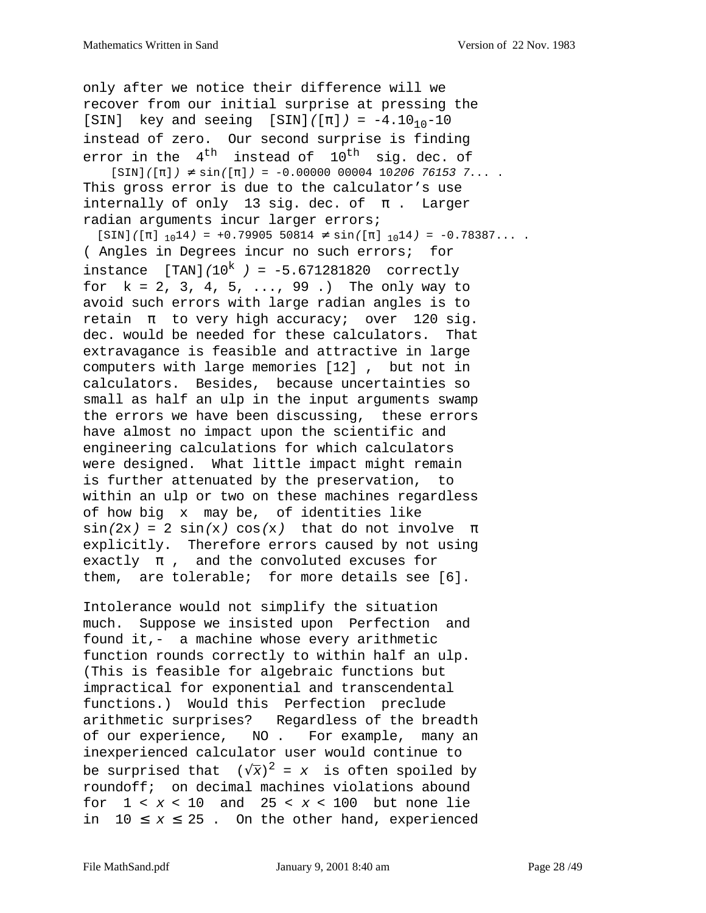only after we notice their difference will we recover from our initial surprise at pressing the [SIN] key and seeing [SIN]( $[\pi]$ ) = -4.10<sub>10</sub>-10 instead of zero. Our second surprise is finding error in the  $4^{th}$  instead of  $10^{th}$  sig. dec. of  $[SIN]([\pi]) \neq \sin([\pi]) = -0.0000000000410206761537...$ This gross error is due to the calculator's use internally of only 13 sig. dec. of  $\pi$ . Larger radian arguments incur larger errors;  $[SIN]([\pi]_{10}14) = +0.79905 50814 \neq \sin([\pi]_{10}14) = -0.78387...$ ( Angles in Degrees incur no such errors; for instance  $[TAN]/10^{k}$  = -5.671281820 correctly for k = 2, 3, 4, 5, ..., 99 .) The only way to avoid such errors with large radian angles is to retain  $\pi$  to very high accuracy; over 120 sig. dec. would be needed for these calculators. That extravagance is feasible and attractive in large computers with large memories [12] , but not in calculators. Besides, because uncertainties so small as half an ulp in the input arguments swamp the errors we have been discussing, these errors have almost no impact upon the scientific and engineering calculations for which calculators were designed. What little impact might remain is further attenuated by the preservation, to within an ulp or two on these machines regardless of how big x may be, of identities like  $sin(2x) = 2 sin(x) cos(x)$  that do not involve  $\pi$ explicitly. Therefore errors caused by not using exactly  $\pi$ , and the convoluted excuses for them, are tolerable; for more details see [6].

Intolerance would not simplify the situation much. Suppose we insisted upon Perfection and found it,- a machine whose every arithmetic function rounds correctly to within half an ulp. (This is feasible for algebraic functions but impractical for exponential and transcendental functions.) Would this Perfection preclude arithmetic surprises? Regardless of the breadth of our experience, NO . For example, many an inexperienced calculator user would continue to be surprised that  $\left(\sqrt{\overline{x}}\right)^2$  =  $x$  is often spoiled by roundoff; on decimal machines violations abound for  $1 < x < 10$  and  $25 < x < 100$  but none lie in  $10 \le x \le 25$ . On the other hand, experienced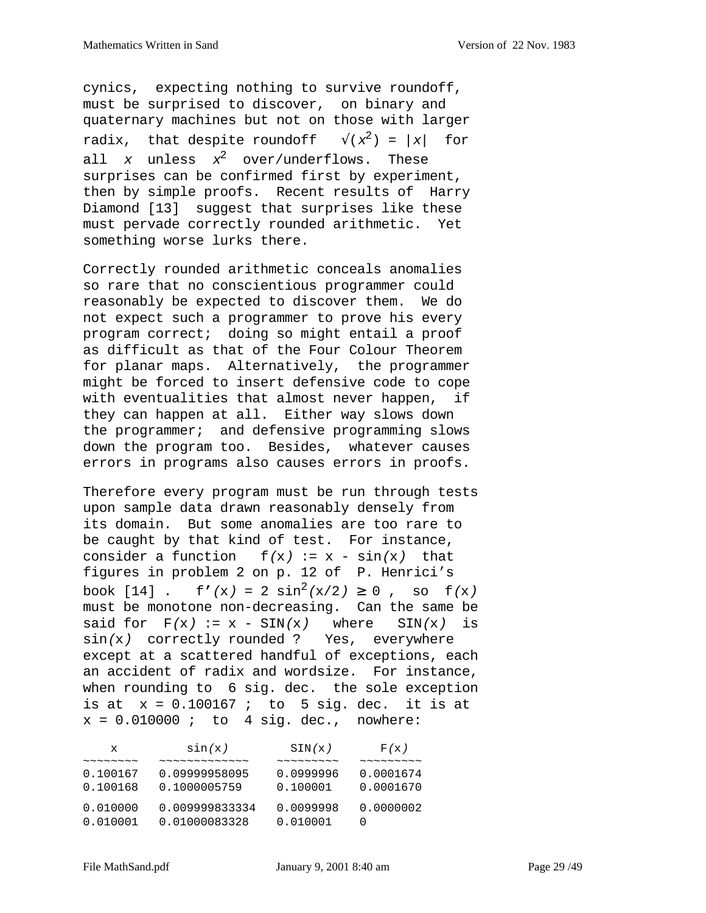cynics, expecting nothing to survive roundoff, must be surprised to discover, on binary and quaternary machines but not on those with larger radix, that despite roundoff  $\sqrt{x^2}$  = |x| for all x unless  $x^2$  over/underflows. These surprises can be confirmed first by experiment, then by simple proofs. Recent results of Harry Diamond [13] suggest that surprises like these must pervade correctly rounded arithmetic. Yet something worse lurks there.

Correctly rounded arithmetic conceals anomalies so rare that no conscientious programmer could reasonably be expected to discover them. We do not expect such a programmer to prove his every program correct; doing so might entail a proof as difficult as that of the Four Colour Theorem for planar maps. Alternatively, the programmer might be forced to insert defensive code to cope with eventualities that almost never happen, if they can happen at all. Either way slows down the programmer; and defensive programming slows down the program too. Besides, whatever causes errors in programs also causes errors in proofs.

Therefore every program must be run through tests upon sample data drawn reasonably densely from its domain. But some anomalies are too rare to be caught by that kind of test. For instance, consider a function  $f(x) := x - \sin(x)$  that figures in problem 2 on p. 12 of P. Henrici's book [14] . f'(x) =  $2 \sin^2(x/2) \ge 0$ , so f(x) must be monotone non-decreasing. Can the same be said for  $F(x) := x - SIN(x)$  where  $SIN(x)$  is sin(x) correctly rounded ? Yes, everywhere except at a scattered handful of exceptions, each an accident of radix and wordsize. For instance, when rounding to 6 sig. dec. the sole exception is at  $x = 0.100167$  ; to 5 sig. dec. it is at  $x = 0.010000$ ; to 4 sig. dec., nowhere:

| x                                         | sin(x)         | SIN(x)                                           | F(x)                                             |
|-------------------------------------------|----------------|--------------------------------------------------|--------------------------------------------------|
| $\sim$ $\sim$ $\sim$ $\sim$ $\sim$ $\sim$ |                | $\sim$ $\sim$ $\sim$ $\sim$ $\sim$ $\sim$ $\sim$ | $\sim$ $\sim$ $\sim$ $\sim$ $\sim$ $\sim$ $\sim$ |
| 0.100167                                  | 0.09999958095  | 0.0999996                                        | 0.0001674                                        |
| 0.100168                                  | 0.1000005759   | 0.100001                                         | 0.0001670                                        |
| 0.010000                                  | 0.009999833334 | 0.0099998                                        | 0.0000002                                        |
| 0.010001                                  | 0.01000083328  | 0.010001                                         | $\left( \right)$                                 |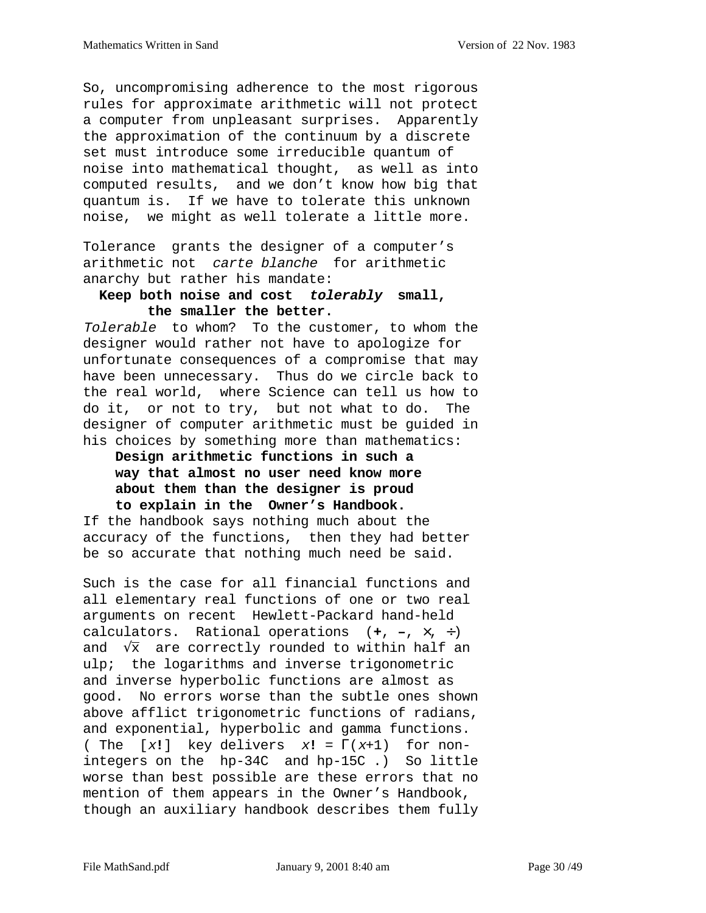So, uncompromising adherence to the most rigorous rules for approximate arithmetic will not protect a computer from unpleasant surprises. Apparently the approximation of the continuum by a discrete set must introduce some irreducible quantum of noise into mathematical thought, as well as into computed results, and we don't know how big that quantum is. If we have to tolerate this unknown noise, we might as well tolerate a little more.

Tolerance grants the designer of a computer's arithmetic not carte blanche for arithmetic anarchy but rather his mandate:

## **Keep both noise and cost tolerably small, the smaller the better.**

Tolerable to whom? To the customer, to whom the designer would rather not have to apologize for unfortunate consequences of a compromise that may have been unnecessary. Thus do we circle back to the real world, where Science can tell us how to do it, or not to try, but not what to do. The designer of computer arithmetic must be guided in his choices by something more than mathematics:

# **Design arithmetic functions in such a way that almost no user need know more about them than the designer is proud to explain in the Owner's Handbook.**

If the handbook says nothing much about the accuracy of the functions, then they had better be so accurate that nothing much need be said.

Such is the case for all financial functions and all elementary real functions of one or two real arguments on recent Hewlett-Packard hand-held calculators. Rational operations (**+**, **–**, ×, ÷) and  $\sqrt{x}$  are correctly rounded to within half an ulp; the logarithms and inverse trigonometric and inverse hyperbolic functions are almost as good. No errors worse than the subtle ones shown above afflict trigonometric functions of radians, and exponential, hyperbolic and gamma functions. ( The [x**!**] key delivers x**!** = Γ(x+1) for nonintegers on the hp-34C and hp-15C .) So little worse than best possible are these errors that no mention of them appears in the Owner's Handbook, though an auxiliary handbook describes them fully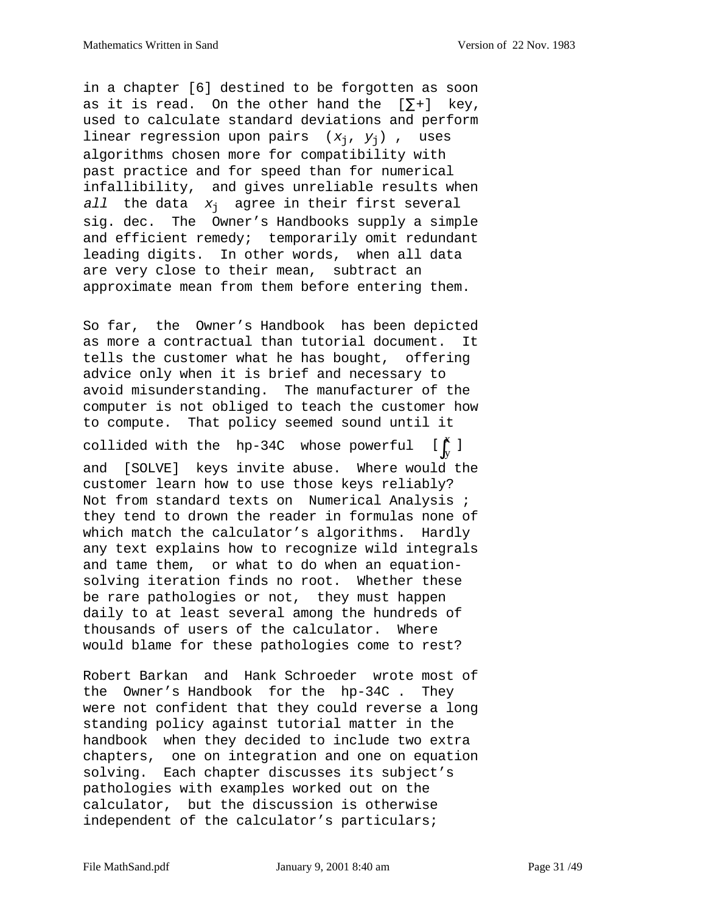in a chapter [6] destined to be forgotten as soon as it is read. On the other hand the  $[\Sigma^+]$  key, used to calculate standard deviations and perform linear regression upon pairs  $(x_j, y_j)$ , uses algorithms chosen more for compatibility with past practice and for speed than for numerical infallibility, and gives unreliable results when all the data  $x_i$  agree in their first several sig. dec. The Owner's Handbooks supply a simple and efficient remedy; temporarily omit redundant leading digits. In other words, when all data are very close to their mean, subtract an approximate mean from them before entering them.

So far, the Owner's Handbook has been depicted as more a contractual than tutorial document. It tells the customer what he has bought, offering advice only when it is brief and necessary to avoid misunderstanding. The manufacturer of the computer is not obliged to teach the customer how to compute. That policy seemed sound until it collided with the hp-34C whose powerful and [SOLVE] keys invite abuse. Where would the customer learn how to use those keys reliably? Not from standard texts on Numerical Analysis ; they tend to drown the reader in formulas none of which match the calculator's algorithms. Hardly any text explains how to recognize wild integrals and tame them, or what to do when an equationsolving iteration finds no root. Whether these be rare pathologies or not, they must happen daily to at least several among the hundreds of thousands of users of the calculator. Where would blame for these pathologies come to rest? y  $\left[\int_{y}^{x} \right]$ 

Robert Barkan and Hank Schroeder wrote most of the Owner's Handbook for the hp-34C . They were not confident that they could reverse a long standing policy against tutorial matter in the handbook when they decided to include two extra chapters, one on integration and one on equation solving. Each chapter discusses its subject's pathologies with examples worked out on the calculator, but the discussion is otherwise independent of the calculator's particulars;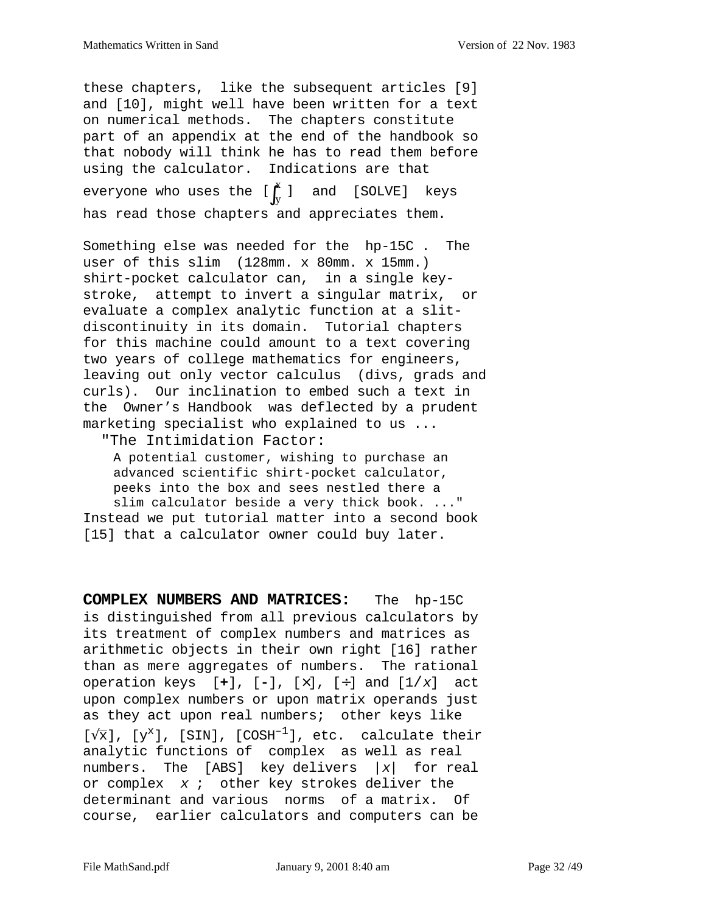these chapters, like the subsequent articles [9] and [10], might well have been written for a text on numerical methods. The chapters constitute part of an appendix at the end of the handbook so that nobody will think he has to read them before using the calculator. Indications are that everyone who uses the  $[\,]\big\uparrow_y]$  and [SOLVE] keys has read those chapters and appreciates them.  $\left[\int_{y}^{x} \right]$ 

Something else was needed for the hp-15C . The user of this slim (128mm. x 80mm. x 15mm.) shirt-pocket calculator can, in a single keystroke, attempt to invert a singular matrix, or evaluate a complex analytic function at a slitdiscontinuity in its domain. Tutorial chapters for this machine could amount to a text covering two years of college mathematics for engineers, leaving out only vector calculus (divs, grads and curls). Our inclination to embed such a text in the Owner's Handbook was deflected by a prudent marketing specialist who explained to us ...

"The Intimidation Factor:

 A potential customer, wishing to purchase an advanced scientific shirt-pocket calculator, peeks into the box and sees nestled there a slim calculator beside a very thick book. ..." Instead we put tutorial matter into a second book [15] that a calculator owner could buy later.

**COMPLEX NUMBERS AND MATRICES:** The hp-15C is distinguished from all previous calculators by its treatment of complex numbers and matrices as arithmetic objects in their own right [16] rather than as mere aggregates of numbers. The rational operation keys [**+**], [**-**], [×], [÷] and [1/x] act upon complex numbers or upon matrix operands just as they act upon real numbers; other keys like  $[\sqrt{x}]$ ,  $[y^x]$ , [SIN], [COSH<sup>-1</sup>], etc. calculate their analytic functions of complex as well as real numbers. The [ABS] key delivers  $|x|$  for real or complex  $x$  ; other key strokes deliver the determinant and various norms of a matrix. Of course, earlier calculators and computers can be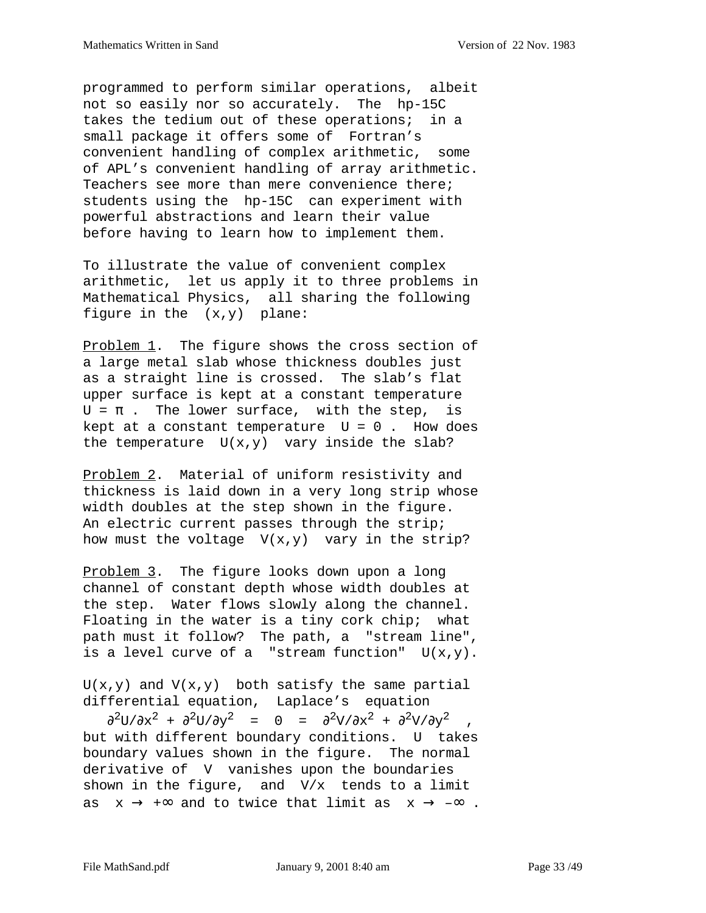programmed to perform similar operations, albeit not so easily nor so accurately. The hp-15C takes the tedium out of these operations; in a small package it offers some of Fortran's convenient handling of complex arithmetic, some of APL's convenient handling of array arithmetic. Teachers see more than mere convenience there; students using the hp-15C can experiment with powerful abstractions and learn their value before having to learn how to implement them.

To illustrate the value of convenient complex arithmetic, let us apply it to three problems in Mathematical Physics, all sharing the following figure in the  $(x,y)$  plane:

Problem 1. The figure shows the cross section of a large metal slab whose thickness doubles just as a straight line is crossed. The slab's flat upper surface is kept at a constant temperature  $U = \pi$ . The lower surface, with the step, is kept at a constant temperature  $U = 0$ . How does the temperature  $U(x,y)$  vary inside the slab?

Problem 2. Material of uniform resistivity and thickness is laid down in a very long strip whose width doubles at the step shown in the figure. An electric current passes through the strip; how must the voltage  $V(x,y)$  vary in the strip?

Problem 3. The figure looks down upon a long channel of constant depth whose width doubles at the step. Water flows slowly along the channel. Floating in the water is a tiny cork chip; what path must it follow? The path, a "stream line", is a level curve of a "stream function"  $U(x,y)$ .

 $U(x,y)$  and  $V(x,y)$  both satisfy the same partial differential equation, Laplace's equation

 $\frac{\partial^2 U}{\partial x^2} + \frac{\partial^2 U}{\partial y^2} = 0 = \frac{\partial^2 V}{\partial x^2} + \frac{\partial^2 V}{\partial y^2}$ but with different boundary conditions. U takes boundary values shown in the figure. The normal derivative of V vanishes upon the boundaries shown in the figure, and  $V/x$  tends to a limit as  $x \rightarrow +\infty$  and to twice that limit as  $x \rightarrow -\infty$ .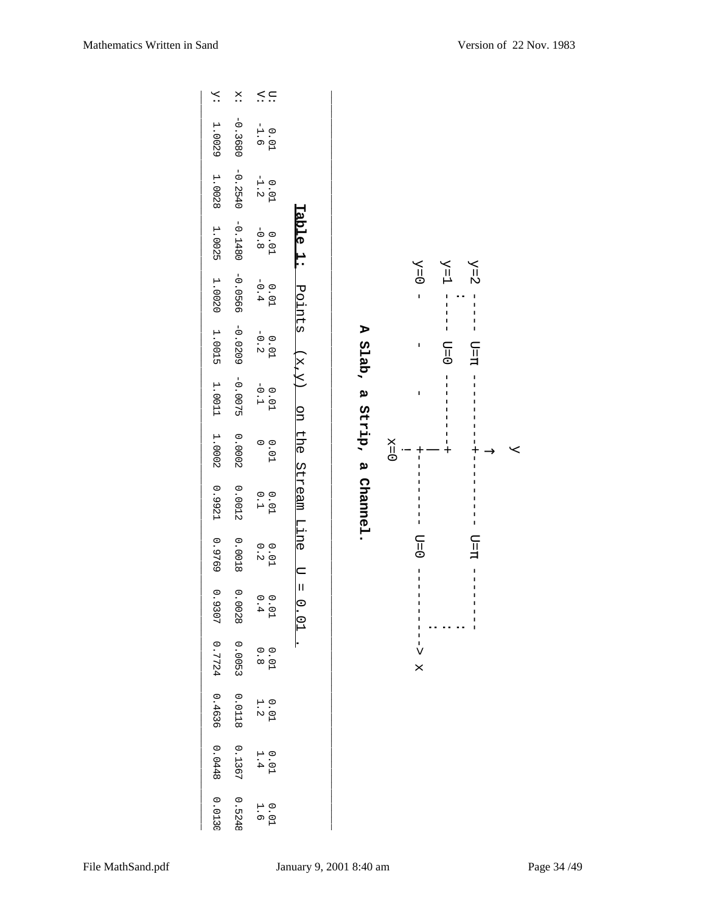| 0.0448<br>0.1367<br>$0.01$<br>1.4<br>0.0130<br>0.5248<br>$0.01$<br>1.6 |                                            |                                                                                                           |         |
|------------------------------------------------------------------------|--------------------------------------------|-----------------------------------------------------------------------------------------------------------|---------|
| 0.4636<br>0.0118<br>$0.01$<br>1.2                                      |                                            |                                                                                                           |         |
| 0.0053<br>0.7724<br>$0.01$<br>0.8                                      |                                            | T<br>v<br>X                                                                                               |         |
| 0.9307<br>0.0028<br>$0.01$<br>0.4                                      | $\frac{1}{\sqrt{2}}$<br>$\overline{C}$     | J<br>$\overline{\phantom{a}}$<br>J.<br>I<br>ı                                                             |         |
| 0.9769<br>0.0018<br>$0.01$<br>0.2                                      |                                            | $\Box = 0$<br>$T=T$<br>I<br>I<br>$\overline{\phantom{a}}$                                                 |         |
| 10.9921<br>0.0012<br>$0.01$<br>0.1                                     | A Slab, a Strip, a Channel.<br>Stream Line | $\frac{1}{1}$<br>I<br>$\mathsf I$                                                                         |         |
| 0.0002<br>1.0002<br>0.01                                               | $\frac{1}{2}$                              | I<br>T<br>$\begin{array}{c} 1 \\ 1 \\ + \end{array}$<br>$X=0$                                             | $\prec$ |
| $-0.0075$<br>1.0011<br>$0.01$<br>-0.1                                  | pp                                         | $\frac{1}{1}$<br>I<br>$\frac{1}{1}$<br>$\sf I$<br>I<br>ı                                                  |         |
| $-0.0209$<br>1.0015<br>$0.01$<br>-0.2                                  | $(\mathrm{x},\mathrm{y})$                  | $\begin{array}{c} 1 \\ 1 \\ 1 \end{array}$<br>ı<br>$\overline{\phantom{a}}$<br>$D = \Omega$<br>$T=T$<br>I |         |
| $-0.0566$<br>$0.01$<br>-0.4<br>1.0020                                  | Points                                     | $Y=0$<br>$Y\!=\!1$<br>$Y=2$<br>$\overline{1}$<br>ı<br>$\overline{\phantom{a}}$<br>I<br>I                  |         |
| $-0.1480$<br>1.0025<br>$0.01$<br>-0.8                                  | rable 1:                                   |                                                                                                           |         |
| $-0.2540$<br>1.0028<br>$0.01$<br>-1.2                                  |                                            |                                                                                                           |         |
| $-0.3680$<br>1.0029<br>$0.01$<br>-1.6                                  |                                            |                                                                                                           |         |
| $\stackrel{\triangle}{\cdot}$ ::<br>$\ddot{\Sigma}$<br>$\ddot{x}$      |                                            |                                                                                                           |         |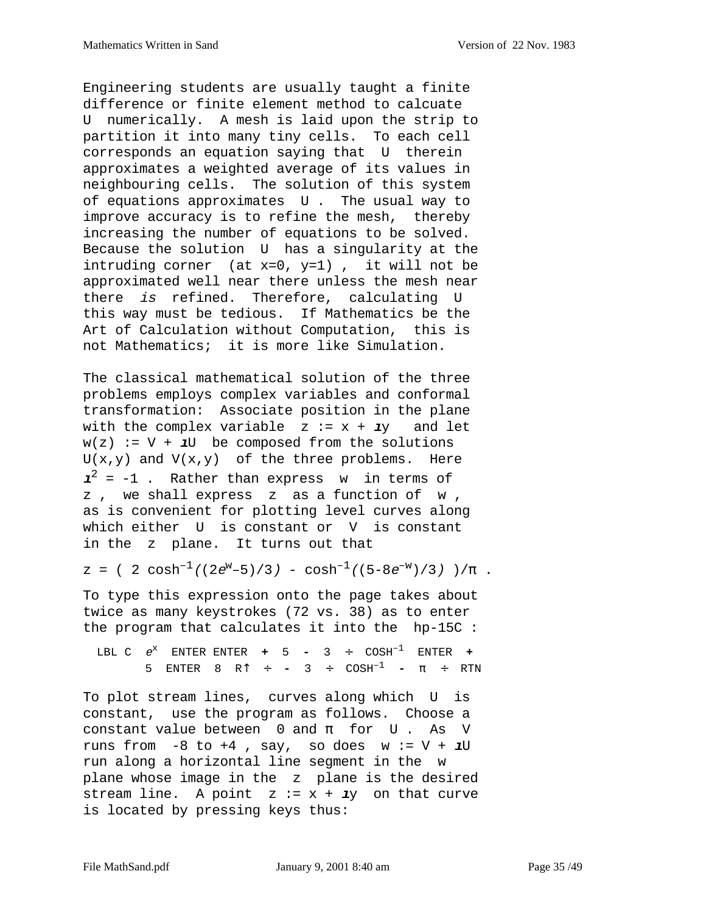Engineering students are usually taught a finite difference or finite element method to calcuate U numerically. A mesh is laid upon the strip to partition it into many tiny cells. To each cell corresponds an equation saying that U therein approximates a weighted average of its values in neighbouring cells. The solution of this system of equations approximates U . The usual way to improve accuracy is to refine the mesh, thereby increasing the number of equations to be solved. Because the solution U has a singularity at the intruding corner (at x=0, y=1) , it will not be approximated well near there unless the mesh near there is refined. Therefore, calculating U this way must be tedious. If Mathematics be the Art of Calculation without Computation, this is not Mathematics; it is more like Simulation.

The classical mathematical solution of the three problems employs complex variables and conformal transformation: Associate position in the plane with the complex variable  $z := x + \mathbf{i}y$  and let  $w(z) := V + 1U$  be composed from the solutions  $U(x,y)$  and  $V(x,y)$  of the three problems. Here  $\mathbf{1}^2$  = -1 . Rather than express w in terms of z , we shall express z as a function of w , as is convenient for plotting level curves along which either U is constant or V is constant in the z plane. It turns out that

$$
z = (2 \cosh^{-1}((2e^{w}-5)/3) - \cosh^{-1}((5-8e^{-w})/3)) / \pi
$$
.

To type this expression onto the page takes about twice as many keystrokes (72 vs. 38) as to enter the program that calculates it into the hp-15C :

LBL C  $e^x$  ENTER ENTER  $+$  5 - 3 ÷ COSH<sup>-1</sup> ENTER  $+$ 5 ENTER 8 R↑ ÷ **-** 3 ÷ COSH–1 **-** π ÷ RTN

To plot stream lines, curves along which U is constant, use the program as follows. Choose a constant value between  $0$  and  $\pi$  for U. As V runs from  $-8$  to  $+4$  , say, so does  $w := V + 1U$ run along a horizontal line segment in the w plane whose image in the z plane is the desired stream line. A point  $z := x + \mathbf{i}y$  on that curve is located by pressing keys thus: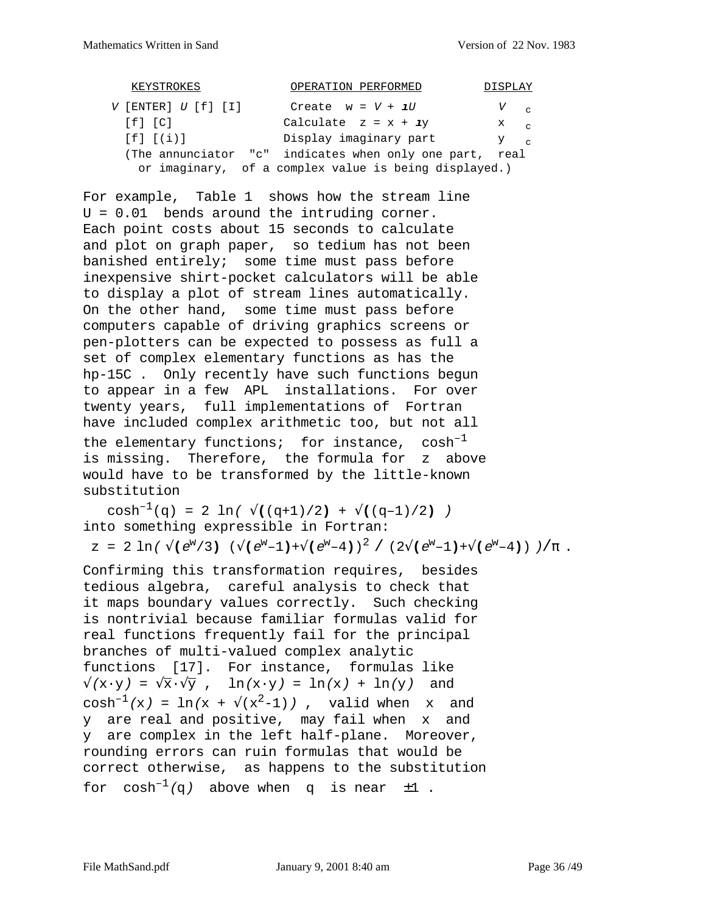| KEYSTROKES              | OPERATION PERFORMED                                   | DISPLAY              |
|-------------------------|-------------------------------------------------------|----------------------|
| $V$ [ENTER] $U$ [f] [I] | Create $w = V + 1U$                                   | $V_{\rm eq}$         |
| $[f]$ $[C]$             | Calculate $z = x + iy$                                | $X \bigcup_{\alpha}$ |
| $[f]$ $[(i)]$           | Display imaginary part                                | $Y \sim$             |
|                         | (The annunciator "c" indicates when only one part,    | real                 |
|                         | or imaginary, of a complex value is being displayed.) |                      |

For example, Table 1 shows how the stream line U = 0.01 bends around the intruding corner. Each point costs about 15 seconds to calculate and plot on graph paper, so tedium has not been banished entirely; some time must pass before inexpensive shirt-pocket calculators will be able to display a plot of stream lines automatically. On the other hand, some time must pass before computers capable of driving graphics screens or pen-plotters can be expected to possess as full a set of complex elementary functions as has the hp-15C . Only recently have such functions begun to appear in a few APL installations. For over twenty years, full implementations of Fortran have included complex arithmetic too, but not all the elementary functions; for instance,  $cosh^{-1}$ is missing. Therefore, the formula for z above would have to be transformed by the little-known substitution

cosh<sup>-1</sup>(q) = 2 ln(  $\sqrt{(q+1)/2}$ ) +  $\sqrt{(q-1)/2}$ ) into something expressible in Fortran:  $z = 2 \ln(\sqrt{e^w/3}) (\sqrt{e^w-1}) + \sqrt{e^w-4})^2 / (2\sqrt{e^w-1}) + \sqrt{e^w-4}) / (\pi$ .

Confirming this transformation requires, besides tedious algebra, careful analysis to check that it maps boundary values correctly. Such checking is nontrivial because familiar formulas valid for real functions frequently fail for the principal branches of multi-valued complex analytic functions [17]. For instance, formulas like  $\sqrt{(x \cdot y)} = \sqrt{x} \cdot \sqrt{y}$ ,  $\ln(x \cdot y) = \ln(x) + \ln(y)$  and  $cosh^{-1}(x) = ln(x + \sqrt{x^2-1})$ , valid when x and y are real and positive, may fail when x and y are complex in the left half-plane. Moreover, rounding errors can ruin formulas that would be correct otherwise, as happens to the substitution for  $cosh^{-1}(q)$  above when q is near  $\pm 1$  .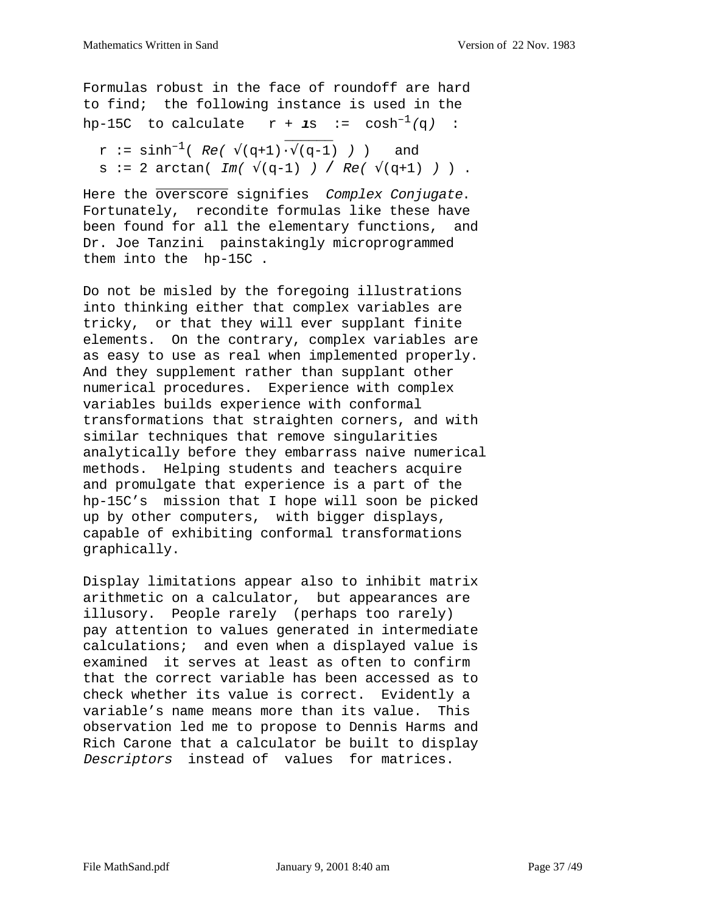Formulas robust in the face of roundoff are hard to find; the following instance is used in the hp-15C to calculate  $r + 1s$  :=  $cosh^{-1}(\alpha)$  :

$$
r := \sinh^{-1}(Re(\sqrt{q+1}) \cdot \sqrt{q-1}) )
$$
 and  
\n $s := 2 \arctan(\Im(\sqrt{q-1}) ) / Re(\sqrt{q+1}) )$ .

Here the overscore signifies Complex Conjugate. Fortunately, recondite formulas like these have been found for all the elementary functions, and Dr. Joe Tanzini painstakingly microprogrammed them into the hp-15C .

Do not be misled by the foregoing illustrations into thinking either that complex variables are tricky, or that they will ever supplant finite elements. On the contrary, complex variables are as easy to use as real when implemented properly. And they supplement rather than supplant other numerical procedures. Experience with complex variables builds experience with conformal transformations that straighten corners, and with similar techniques that remove singularities analytically before they embarrass naive numerical methods. Helping students and teachers acquire and promulgate that experience is a part of the hp-15C's mission that I hope will soon be picked up by other computers, with bigger displays, capable of exhibiting conformal transformations graphically.

Display limitations appear also to inhibit matrix arithmetic on a calculator, but appearances are illusory. People rarely (perhaps too rarely) pay attention to values generated in intermediate calculations; and even when a displayed value is examined it serves at least as often to confirm that the correct variable has been accessed as to check whether its value is correct. Evidently a variable's name means more than its value. This observation led me to propose to Dennis Harms and Rich Carone that a calculator be built to display Descriptors instead of values for matrices.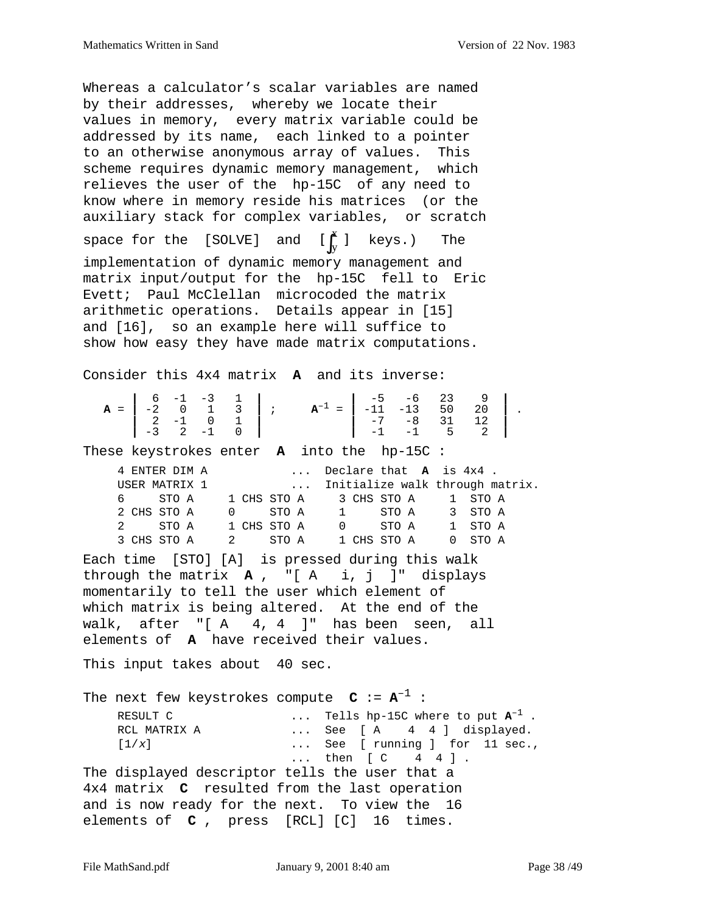Whereas a calculator's scalar variables are named by their addresses, whereby we locate their values in memory, every matrix variable could be addressed by its name, each linked to a pointer to an otherwise anonymous array of values. This scheme requires dynamic memory management, which relieves the user of the hp-15C of any need to know where in memory reside his matrices (or the auxiliary stack for complex variables, or scratch space for the [SOLVE] and  $[\int _{\mathrm{y}}^{\mathrm{a}}]$  keys.) The implementation of dynamic memory management and matrix input/output for the hp-15C fell to Eric Evett; Paul McClellan microcoded the matrix arithmetic operations. Details appear in [15] and [16], so an example here will suffice to show how easy they have made matrix computations. Consider this 4x4 matrix **A** and its inverse: **A** =  $\begin{vmatrix} 6 & -1 & -3 & 1 \\ -2 & 0 & 1 & 3 \\ 2 & -1 & 0 & 1 \\ -3 & 2 & -1 & 0 \end{vmatrix}$ ;  $\mathbf{A}^{-1} = \begin{vmatrix} -5 & -6 & 23 & 9 \\ -11 & -13 & 50 & 20 \\ -7 & -8 & 31 & 12 \\ -1 & -1 & 5 & 2 \end{vmatrix}$ . These keystrokes enter **A** into the hp-15C : 4 ENTER DIM A ... Declare that **A** is 4x4 . USER MATRIX 1 ... Initialize walk through matrix. 6 STO A 1 CHS STO A 3 CHS STO A 1 STO A 2 CHS STO A 0 STO A 1 STO A 3 STO A 2 STO A 1 CHS STO A 0 STO A 1 STO A 3 CHS STO A 2 STO A 1 CHS STO A 0 STO A Each time [STO] [A] is pressed during this walk through the matrix **A** , "[ A i, j ]" displays momentarily to tell the user which element of which matrix is being altered. At the end of the walk, after "[ A 4, 4 ]" has been seen, all elements of **A** have received their values. This input takes about 40 sec. The next few keystrokes compute  $C := A^{-1}$ : RESULT C ... Tells hp-15C where to put  $\mathbf{A}^{-1}$ .<br>RCL MATRIX A ... See [ A  $\begin{bmatrix} 4 & 4 & 1 \end{bmatrix}$  displayed. ... See [ A 4 4 ] displayed.  $[1/x]$  ... See [ running ] for 11 sec., ... then [ C 4 4 ]. The displayed descriptor tells the user that a 4x4 matrix **C** resulted from the last operation and is now ready for the next. To view the 16 elements of **C** , press [RCL] [C] 16 times.  $[\int_{y}^{x}]$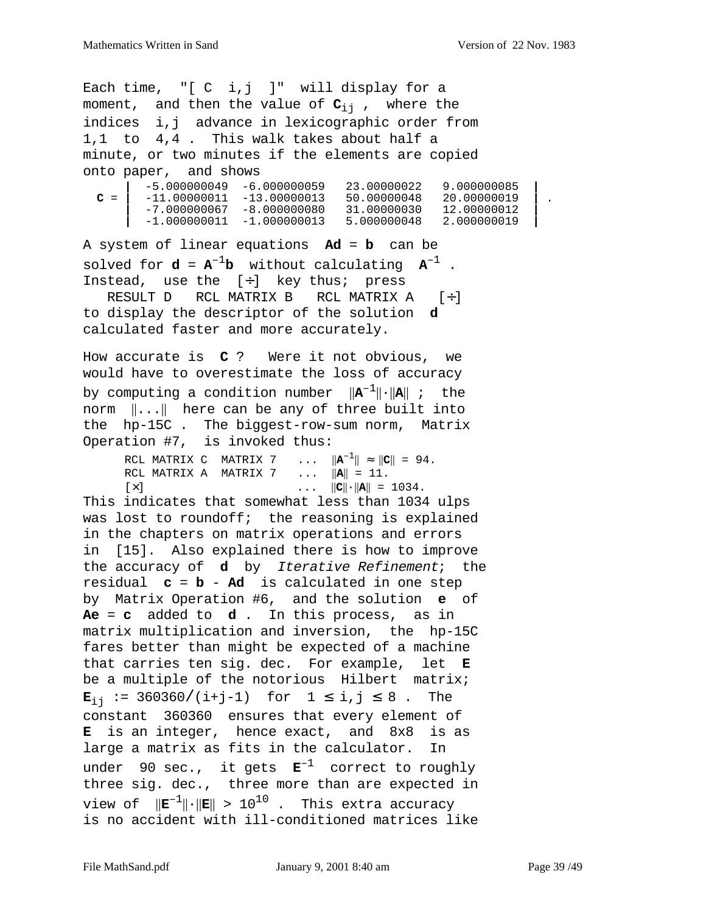Each time, "[ C i,j ]" will display for a moment, and then the value of  $C_{i,j}$ , where the indices i,j advance in lexicographic order from 1,1 to 4,4 . This walk takes about half a minute, or two minutes if the elements are copied onto paper, and shows **|** -5.000000049 -6.000000059 23.00000022 9.000000085 **| C** = **|** -11.00000011 -13.00000013 50.00000048 20.00000019 **|** . **|** -7.000000067 -8.000000080 31.00000030 12.00000012 **| |** -1.000000011 -1.000000013 5.000000048 2.000000019 **|** A system of linear equations **Ad** = **b** can be solved for  $d = A^{-1}b$  without calculating  $A^{-1}$ . Instead, use the  $[+]$  key thus; press RESULT D RCL MATRIX B RCL MATRIX A  $[+]$ to display the descriptor of the solution **d** calculated faster and more accurately. How accurate is **C** ? Were it not obvious, we would have to overestimate the loss of accuracy by computing a condition number  $||\mathbf{A}^{-1}|| \cdot ||\mathbf{A}||$  ; the norm ||...|| here can be any of three built into the hp-15C . The biggest-row-sum norm, Matrix Operation #7, is invoked thus: RCL MATRIX C MATRIX 7 ...  $||A^{-1}|| \approx ||C|| = 94$ . RCL MATRIX A MATRIX 7 ... ||**A**|| = 11.  $[\times]$  ...  $||C|| \cdot ||A|| = 1034$ . This indicates that somewhat less than 1034 ulps was lost to roundoff; the reasoning is explained in the chapters on matrix operations and errors in [15]. Also explained there is how to improve the accuracy of **d** by Iterative Refinement; the residual **c** = **b** - **Ad** is calculated in one step by Matrix Operation #6, and the solution **e** of **Ae** = **c** added to **d** . In this process, as in matrix multiplication and inversion, the hp-15C fares better than might be expected of a machine that carries ten sig. dec. For example, let **E** be a multiple of the notorious Hilbert matrix; **E**<sub>ij</sub> := 360360/(i+j-1) for 1 ≤ i,j ≤ 8. The constant 360360 ensures that every element of **E** is an integer, hence exact, and 8x8 is as large a matrix as fits in the calculator. In under 90 sec., it gets **E**–1 correct to roughly three sig. dec., three more than are expected in view of  $||\mathbf{E}^{-1}|| \cdot ||\mathbf{E}|| > 10^{10}$ . This extra accuracy is no accident with ill-conditioned matrices like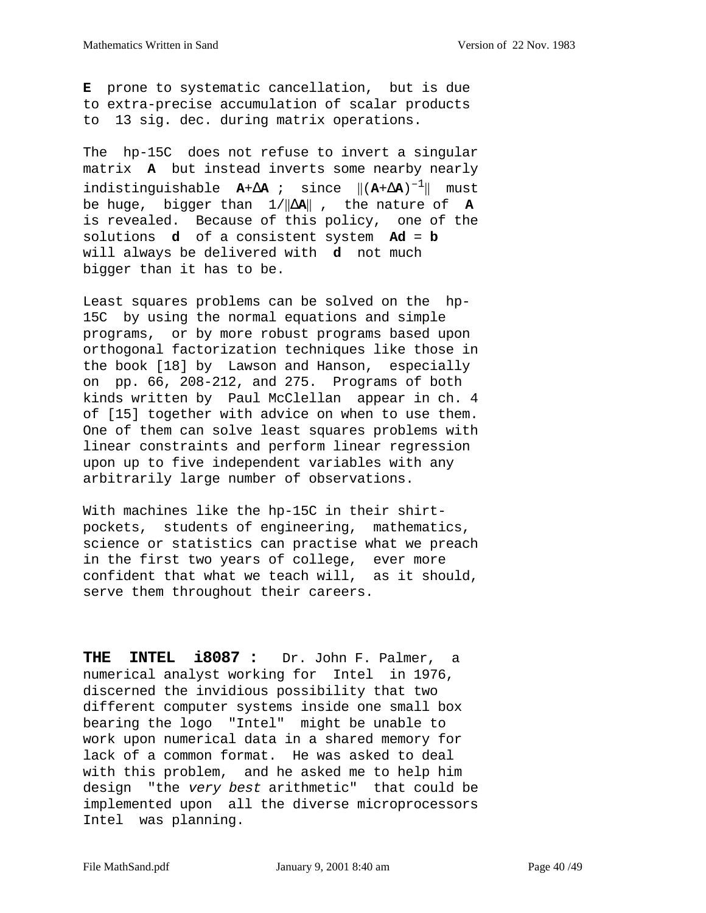**E** prone to systematic cancellation, but is due to extra-precise accumulation of scalar products to 13 sig. dec. during matrix operations.

The hp-15C does not refuse to invert a singular matrix **A** but instead inverts some nearby nearly indistinguishable **A**+∆**A** ; since ||(**A**+∆**A**)–1|| must be huge, bigger than 1/||∆**A**|| , the nature of **A** is revealed. Because of this policy, one of the solutions **d** of a consistent system **Ad** = **b** will always be delivered with **d** not much bigger than it has to be.

Least squares problems can be solved on the hp-15C by using the normal equations and simple programs, or by more robust programs based upon orthogonal factorization techniques like those in the book [18] by Lawson and Hanson, especially on pp. 66, 208-212, and 275. Programs of both kinds written by Paul McClellan appear in ch. 4 of [15] together with advice on when to use them. One of them can solve least squares problems with linear constraints and perform linear regression upon up to five independent variables with any arbitrarily large number of observations.

With machines like the hp-15C in their shirtpockets, students of engineering, mathematics, science or statistics can practise what we preach in the first two years of college, ever more confident that what we teach will, as it should, serve them throughout their careers.

**THE INTEL i8087 :** Dr. John F. Palmer, a numerical analyst working for Intel in 1976, discerned the invidious possibility that two different computer systems inside one small box bearing the logo "Intel" might be unable to work upon numerical data in a shared memory for lack of a common format. He was asked to deal with this problem, and he asked me to help him design "the very best arithmetic" that could be implemented upon all the diverse microprocessors Intel was planning.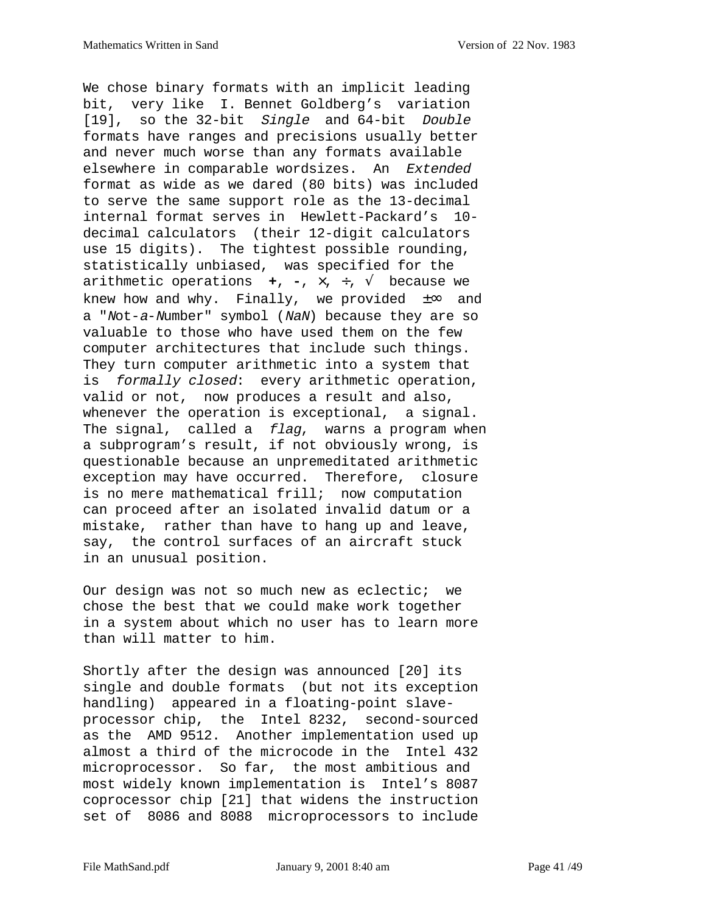We chose binary formats with an implicit leading bit, very like I. Bennet Goldberg's variation [19], so the 32-bit Single and 64-bit Double formats have ranges and precisions usually better and never much worse than any formats available elsewhere in comparable wordsizes. An Extended format as wide as we dared (80 bits) was included to serve the same support role as the 13-decimal internal format serves in Hewlett-Packard's 10 decimal calculators (their 12-digit calculators use 15 digits). The tightest possible rounding, statistically unbiased, was specified for the arithmetic operations **+**, **-**, ×, ÷, √ because we knew how and why. Finally, we provided  $\pm \infty$  and a "Not-a-Number" symbol (NaN) because they are so valuable to those who have used them on the few computer architectures that include such things. They turn computer arithmetic into a system that is formally closed: every arithmetic operation, valid or not, now produces a result and also, whenever the operation is exceptional, a signal. The signal, called a *flag*, warns a program when a subprogram's result, if not obviously wrong, is questionable because an unpremeditated arithmetic exception may have occurred. Therefore, closure is no mere mathematical frill; now computation can proceed after an isolated invalid datum or a mistake, rather than have to hang up and leave, say, the control surfaces of an aircraft stuck in an unusual position.

Our design was not so much new as eclectic; we chose the best that we could make work together in a system about which no user has to learn more than will matter to him.

Shortly after the design was announced [20] its single and double formats (but not its exception handling) appeared in a floating-point slaveprocessor chip, the Intel 8232, second-sourced as the AMD 9512. Another implementation used up almost a third of the microcode in the Intel 432 microprocessor. So far, the most ambitious and most widely known implementation is Intel's 8087 coprocessor chip [21] that widens the instruction set of 8086 and 8088 microprocessors to include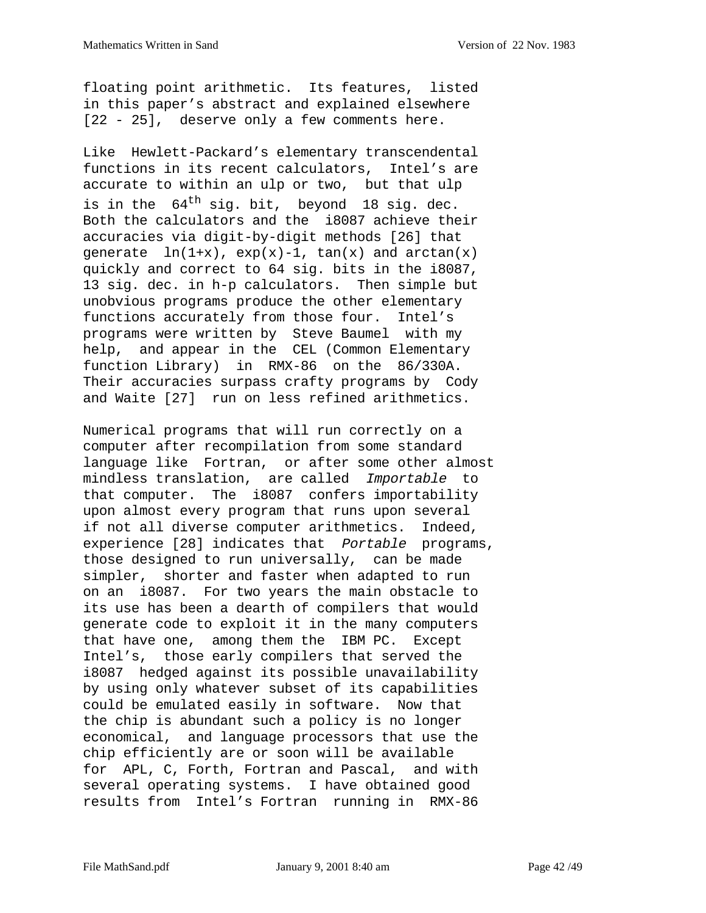floating point arithmetic. Its features, listed in this paper's abstract and explained elsewhere [22 - 25], deserve only a few comments here.

Like Hewlett-Packard's elementary transcendental functions in its recent calculators, Intel's are accurate to within an ulp or two, but that ulp is in the  $64^{\text{th}}$  sig. bit, beyond 18 sig. dec. Both the calculators and the i8087 achieve their accuracies via digit-by-digit methods [26] that generate  $ln(1+x)$ ,  $exp(x)-1$ ,  $tan(x)$  and  $arctan(x)$ quickly and correct to 64 sig. bits in the i8087, 13 sig. dec. in h-p calculators. Then simple but unobvious programs produce the other elementary functions accurately from those four. Intel's programs were written by Steve Baumel with my help, and appear in the CEL (Common Elementary function Library) in RMX-86 on the 86/330A. Their accuracies surpass crafty programs by Cody and Waite [27] run on less refined arithmetics.

Numerical programs that will run correctly on a computer after recompilation from some standard language like Fortran, or after some other almost mindless translation, are called Importable to that computer. The i8087 confers importability upon almost every program that runs upon several if not all diverse computer arithmetics. Indeed, experience [28] indicates that Portable programs, those designed to run universally, can be made simpler, shorter and faster when adapted to run on an i8087. For two years the main obstacle to its use has been a dearth of compilers that would generate code to exploit it in the many computers that have one, among them the IBM PC. Except Intel's, those early compilers that served the i8087 hedged against its possible unavailability by using only whatever subset of its capabilities could be emulated easily in software. Now that the chip is abundant such a policy is no longer economical, and language processors that use the chip efficiently are or soon will be available for APL, C, Forth, Fortran and Pascal, and with several operating systems. I have obtained good results from Intel's Fortran running in RMX-86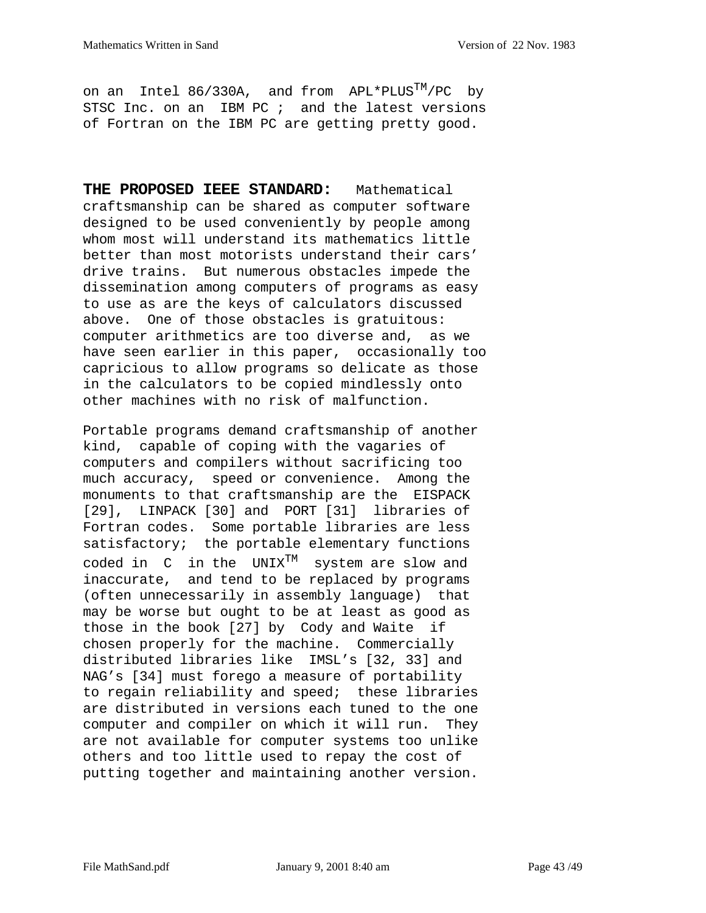on an Intel 86/330A, and from  $APL*PLUS^{TM}/PC$  by STSC Inc. on an IBM PC ; and the latest versions of Fortran on the IBM PC are getting pretty good.

**THE PROPOSED IEEE STANDARD:** Mathematical craftsmanship can be shared as computer software designed to be used conveniently by people among whom most will understand its mathematics little better than most motorists understand their cars' drive trains. But numerous obstacles impede the dissemination among computers of programs as easy to use as are the keys of calculators discussed above. One of those obstacles is gratuitous: computer arithmetics are too diverse and, as we have seen earlier in this paper, occasionally too capricious to allow programs so delicate as those in the calculators to be copied mindlessly onto other machines with no risk of malfunction.

Portable programs demand craftsmanship of another kind, capable of coping with the vagaries of computers and compilers without sacrificing too much accuracy, speed or convenience. Among the monuments to that craftsmanship are the EISPACK [29], LINPACK [30] and PORT [31] libraries of Fortran codes. Some portable libraries are less satisfactory; the portable elementary functions coded in  $C$  in the UNIX<sup>TM</sup> system are slow and inaccurate, and tend to be replaced by programs (often unnecessarily in assembly language) that may be worse but ought to be at least as good as those in the book [27] by Cody and Waite if chosen properly for the machine. Commercially distributed libraries like IMSL's [32, 33] and NAG's [34] must forego a measure of portability to regain reliability and speed; these libraries are distributed in versions each tuned to the one computer and compiler on which it will run. They are not available for computer systems too unlike others and too little used to repay the cost of putting together and maintaining another version.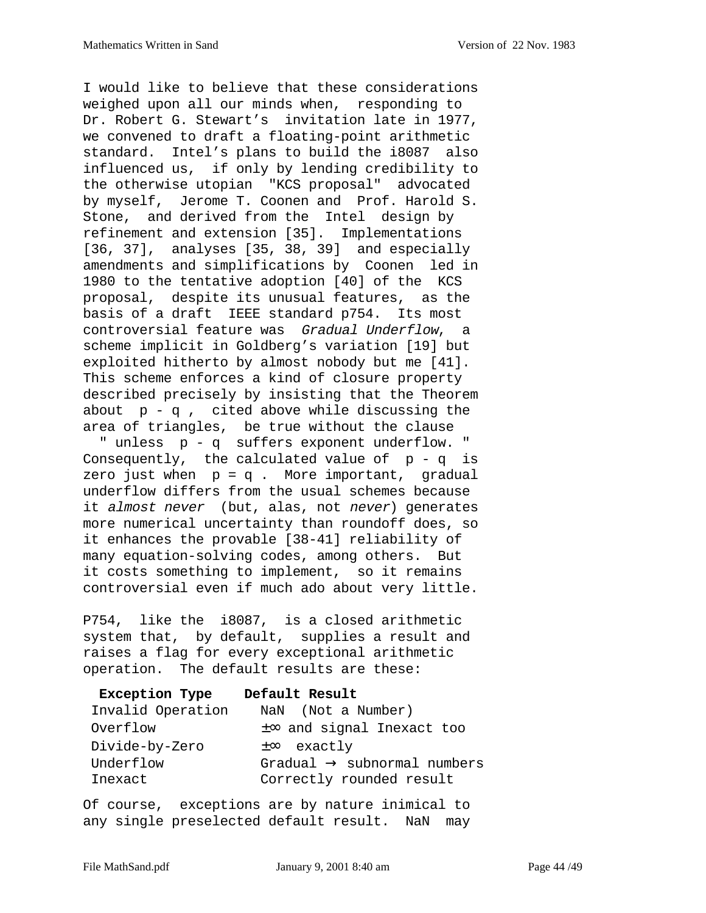I would like to believe that these considerations weighed upon all our minds when, responding to Dr. Robert G. Stewart's invitation late in 1977, we convened to draft a floating-point arithmetic standard. Intel's plans to build the i8087 also influenced us, if only by lending credibility to the otherwise utopian "KCS proposal" advocated by myself, Jerome T. Coonen and Prof. Harold S. Stone, and derived from the Intel design by refinement and extension [35]. Implementations [36, 37], analyses [35, 38, 39] and especially amendments and simplifications by Coonen led in 1980 to the tentative adoption [40] of the KCS proposal, despite its unusual features, as the basis of a draft IEEE standard p754. Its most controversial feature was Gradual Underflow, a scheme implicit in Goldberg's variation [19] but exploited hitherto by almost nobody but me [41]. This scheme enforces a kind of closure property described precisely by insisting that the Theorem about  $p - q$ , cited above while discussing the area of triangles, be true without the clause

 " unless p - q suffers exponent underflow. " Consequently, the calculated value of  $p - q$  is zero just when  $p = q$ . More important, gradual underflow differs from the usual schemes because it almost never (but, alas, not never) generates more numerical uncertainty than roundoff does, so it enhances the provable [38-41] reliability of many equation-solving codes, among others. But it costs something to implement, so it remains controversial even if much ado about very little.

P754, like the i8087, is a closed arithmetic system that, by default, supplies a result and raises a flag for every exceptional arithmetic operation. The default results are these:

| <b>Exception Type</b> | Default Result                          |
|-----------------------|-----------------------------------------|
| Invalid Operation     | NaN (Not a Number)                      |
| Overflow              | $\pm\infty$ and signal Inexact too      |
| Divide-by-Zero        | $\pm\infty$ exactly                     |
| Underflow             | Gradual $\rightarrow$ subnormal numbers |
| Inexact               | Correctly rounded result                |

Of course, exceptions are by nature inimical to any single preselected default result. NaN may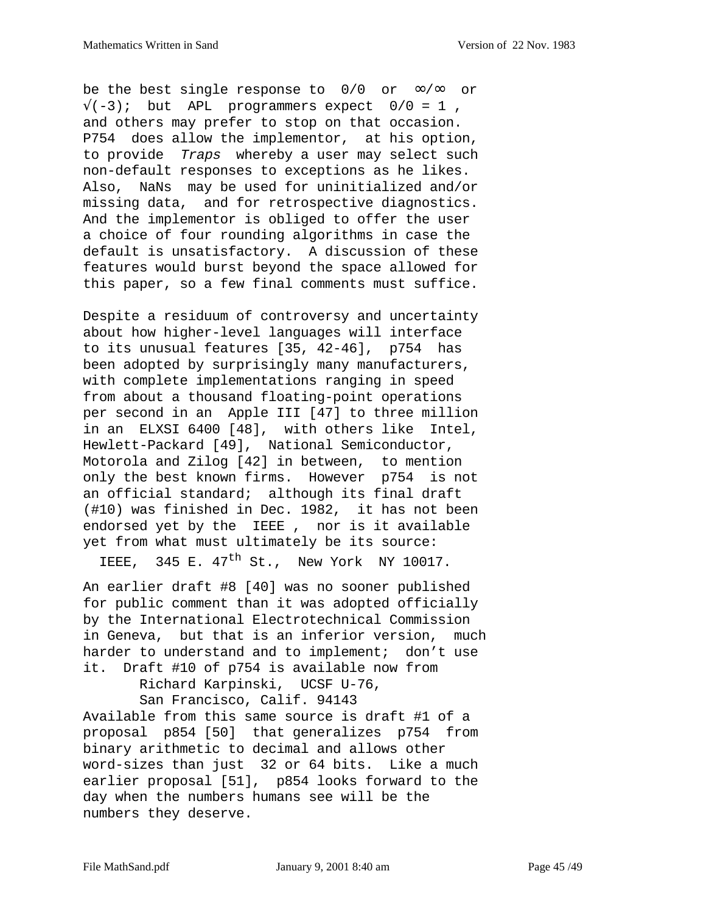be the best single response to  $0/0$  or  $\infty/\infty$  or  $\sqrt{(-3)}$ ; but APL programmers expect  $0/0 = 1$ , and others may prefer to stop on that occasion. P754 does allow the implementor, at his option, to provide Traps whereby a user may select such non-default responses to exceptions as he likes. Also, NaNs may be used for uninitialized and/or missing data, and for retrospective diagnostics. And the implementor is obliged to offer the user a choice of four rounding algorithms in case the default is unsatisfactory. A discussion of these features would burst beyond the space allowed for this paper, so a few final comments must suffice.

Despite a residuum of controversy and uncertainty about how higher-level languages will interface to its unusual features [35, 42-46], p754 has been adopted by surprisingly many manufacturers, with complete implementations ranging in speed from about a thousand floating-point operations per second in an Apple III [47] to three million in an ELXSI 6400 [48], with others like Intel, Hewlett-Packard [49], National Semiconductor, Motorola and Zilog [42] in between, to mention only the best known firms. However p754 is not an official standard; although its final draft (#10) was finished in Dec. 1982, it has not been endorsed yet by the IEEE , nor is it available yet from what must ultimately be its source:

IEEE. 345 E.  $47<sup>th</sup>$  St., New York NY 10017.

An earlier draft #8 [40] was no sooner published for public comment than it was adopted officially by the International Electrotechnical Commission in Geneva, but that is an inferior version, much harder to understand and to implement; don't use it. Draft #10 of p754 is available now from

Richard Karpinski, UCSF U-76,

San Francisco, Calif. 94143

Available from this same source is draft #1 of a proposal p854 [50] that generalizes p754 from binary arithmetic to decimal and allows other word-sizes than just 32 or 64 bits. Like a much earlier proposal [51], p854 looks forward to the day when the numbers humans see will be the numbers they deserve.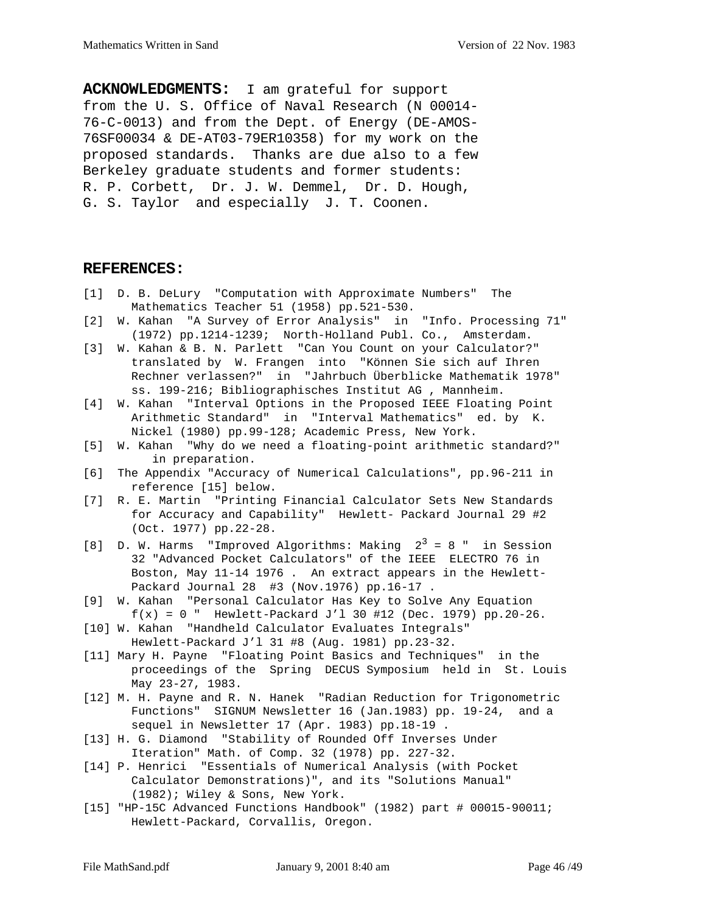**ACKNOWLEDGMENTS:** I am grateful for support from the U. S. Office of Naval Research (N 00014- 76-C-0013) and from the Dept. of Energy (DE-AMOS-76SF00034 & DE-AT03-79ER10358) for my work on the proposed standards. Thanks are due also to a few Berkeley graduate students and former students: R. P. Corbett, Dr. J. W. Demmel, Dr. D. Hough, G. S. Taylor and especially J. T. Coonen.

#### **REFERENCES:**

- [1] D. B. DeLury "Computation with Approximate Numbers" The Mathematics Teacher 51 (1958) pp.521-530.
- [2] W. Kahan "A Survey of Error Analysis" in "Info. Processing 71" (1972) pp.1214-1239; North-Holland Publ. Co., Amsterdam.
- [3] W. Kahan & B. N. Parlett "Can You Count on your Calculator?" translated by W. Frangen into "Können Sie sich auf Ihren Rechner verlassen?" in "Jahrbuch Überblicke Mathematik 1978" ss. 199-216; Bibliographisches Institut AG , Mannheim.
- [4] W. Kahan "Interval Options in the Proposed IEEE Floating Point Arithmetic Standard" in "Interval Mathematics" ed. by K. Nickel (1980) pp.99-128; Academic Press, New York.
- [5] W. Kahan "Why do we need a floating-point arithmetic standard?" in preparation.
- [6] The Appendix "Accuracy of Numerical Calculations", pp.96-211 in reference [15] below.
- [7] R. E. Martin "Printing Financial Calculator Sets New Standards for Accuracy and Capability" Hewlett- Packard Journal 29 #2 (Oct. 1977) pp.22-28.
- [8] D. W. Harms "Improved Algorithms: Making  $2^3 = 8$  " in Session 32 "Advanced Pocket Calculators" of the IEEE ELECTRO 76 in Boston, May 11-14 1976 . An extract appears in the Hewlett- Packard Journal 28 #3 (Nov.1976) pp.16-17 .
- [9] W. Kahan "Personal Calculator Has Key to Solve Any Equation  $f(x) = 0$  " Hewlett-Packard J'l 30 #12 (Dec. 1979) pp.20-26.
- [10] W. Kahan "Handheld Calculator Evaluates Integrals" Hewlett-Packard J'l 31 #8 (Aug. 1981) pp.23-32.
- [11] Mary H. Payne "Floating Point Basics and Techniques" in the proceedings of the Spring DECUS Symposium held in St. Louis May 23-27, 1983.
- [12] M. H. Payne and R. N. Hanek "Radian Reduction for Trigonometric Functions" SIGNUM Newsletter 16 (Jan.1983) pp. 19-24, and a sequel in Newsletter 17 (Apr. 1983) pp.18-19 .
- [13] H. G. Diamond "Stability of Rounded Off Inverses Under Iteration" Math. of Comp. 32 (1978) pp. 227-32.
- [14] P. Henrici "Essentials of Numerical Analysis (with Pocket Calculator Demonstrations)", and its "Solutions Manual" (1982); Wiley & Sons, New York.
- [15] "HP-15C Advanced Functions Handbook" (1982) part # 00015-90011; Hewlett-Packard, Corvallis, Oregon.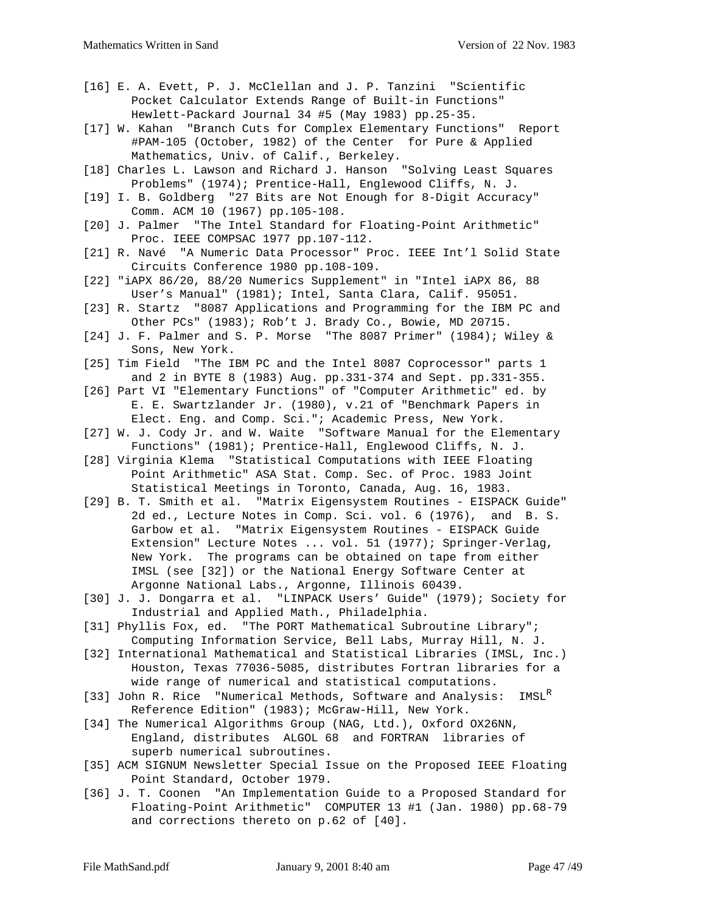- [16] E. A. Evett, P. J. McClellan and J. P. Tanzini "Scientific Pocket Calculator Extends Range of Built-in Functions" Hewlett-Packard Journal 34 #5 (May 1983) pp.25-35.
- [17] W. Kahan "Branch Cuts for Complex Elementary Functions" Report #PAM-105 (October, 1982) of the Center for Pure & Applied Mathematics, Univ. of Calif., Berkeley.
- [18] Charles L. Lawson and Richard J. Hanson "Solving Least Squares Problems" (1974); Prentice-Hall, Englewood Cliffs, N. J.
- [19] I. B. Goldberg "27 Bits are Not Enough for 8-Digit Accuracy" Comm. ACM 10 (1967) pp.105-108.
- [20] J. Palmer "The Intel Standard for Floating-Point Arithmetic" Proc. IEEE COMPSAC 1977 pp.107-112.
- [21] R. Navé "A Numeric Data Processor" Proc. IEEE Int'l Solid State Circuits Conference 1980 pp.108-109.
- [22] "iAPX 86/20, 88/20 Numerics Supplement" in "Intel iAPX 86, 88 User's Manual" (1981); Intel, Santa Clara, Calif. 95051.
- [23] R. Startz "8087 Applications and Programming for the IBM PC and Other PCs" (1983); Rob't J. Brady Co., Bowie, MD 20715.
- [24] J. F. Palmer and S. P. Morse "The 8087 Primer" (1984); Wiley & Sons, New York.
- [25] Tim Field "The IBM PC and the Intel 8087 Coprocessor" parts 1 and 2 in BYTE 8 (1983) Aug. pp.331-374 and Sept. pp.331-355.
- [26] Part VI "Elementary Functions" of "Computer Arithmetic" ed. by E. E. Swartzlander Jr. (1980), v.21 of "Benchmark Papers in Elect. Eng. and Comp. Sci."; Academic Press, New York.
- [27] W. J. Cody Jr. and W. Waite "Software Manual for the Elementary Functions" (1981); Prentice-Hall, Englewood Cliffs, N. J.
- [28] Virginia Klema "Statistical Computations with IEEE Floating Point Arithmetic" ASA Stat. Comp. Sec. of Proc. 1983 Joint Statistical Meetings in Toronto, Canada, Aug. 16, 1983.
- [29] B. T. Smith et al. "Matrix Eigensystem Routines EISPACK Guide" 2d ed., Lecture Notes in Comp. Sci. vol. 6 (1976), and B. S. Garbow et al. "Matrix Eigensystem Routines - EISPACK Guide Extension" Lecture Notes ... vol. 51 (1977); Springer-Verlag, New York. The programs can be obtained on tape from either IMSL (see [32]) or the National Energy Software Center at Argonne National Labs., Argonne, Illinois 60439.
- [30] J. J. Dongarra et al. "LINPACK Users' Guide" (1979); Society for Industrial and Applied Math., Philadelphia.
- [31] Phyllis Fox, ed. "The PORT Mathematical Subroutine Library"; Computing Information Service, Bell Labs, Murray Hill, N. J.
- [32] International Mathematical and Statistical Libraries (IMSL, Inc.) Houston, Texas 77036-5085, distributes Fortran libraries for a wide range of numerical and statistical computations.
- [33] John R. Rice "Numerical Methods, Software and Analysis: IMSL<sup>R</sup> Reference Edition" (1983); McGraw-Hill, New York.
- [34] The Numerical Algorithms Group (NAG, Ltd.), Oxford OX26NN, England, distributes ALGOL 68 and FORTRAN libraries of superb numerical subroutines.
- [35] ACM SIGNUM Newsletter Special Issue on the Proposed IEEE Floating Point Standard, October 1979.
- [36] J. T. Coonen "An Implementation Guide to a Proposed Standard for Floating-Point Arithmetic" COMPUTER 13 #1 (Jan. 1980) pp.68-79 and corrections thereto on p.62 of [40].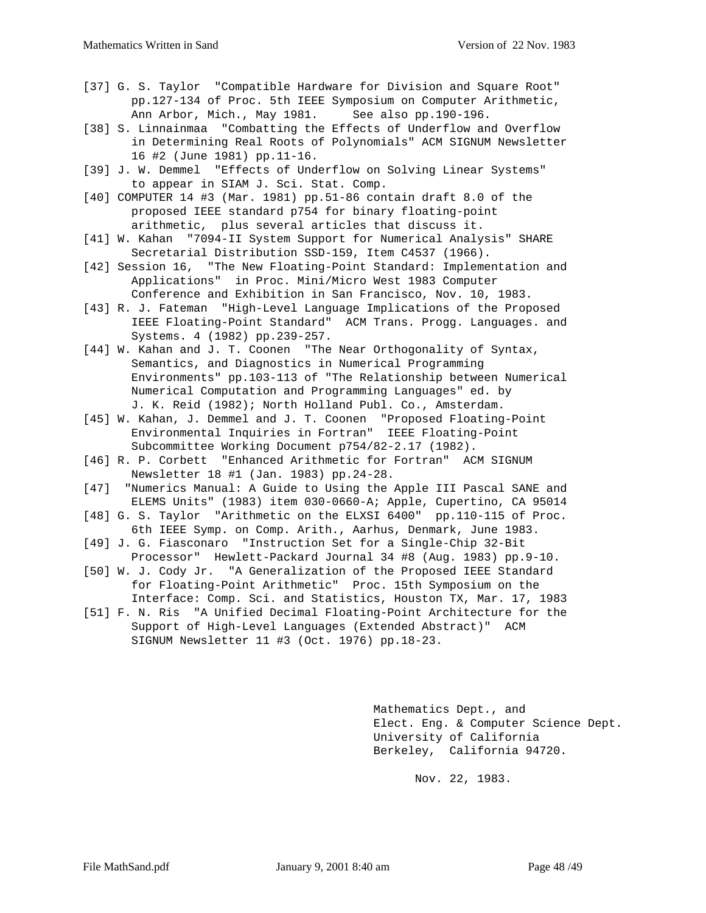- [37] G. S. Taylor "Compatible Hardware for Division and Square Root" pp.127-134 of Proc. 5th IEEE Symposium on Computer Arithmetic, Ann Arbor, Mich., May 1981. See also pp.190-196.
- [38] S. Linnainmaa "Combatting the Effects of Underflow and Overflow in Determining Real Roots of Polynomials" ACM SIGNUM Newsletter 16 #2 (June 1981) pp.11-16.
- [39] J. W. Demmel "Effects of Underflow on Solving Linear Systems" to appear in SIAM J. Sci. Stat. Comp.
- [40] COMPUTER 14 #3 (Mar. 1981) pp.51-86 contain draft 8.0 of the proposed IEEE standard p754 for binary floating-point arithmetic, plus several articles that discuss it.
- [41] W. Kahan "7094-II System Support for Numerical Analysis" SHARE Secretarial Distribution SSD-159, Item C4537 (1966).
- [42] Session 16, "The New Floating-Point Standard: Implementation and Applications" in Proc. Mini/Micro West 1983 Computer Conference and Exhibition in San Francisco, Nov. 10, 1983.
- [43] R. J. Fateman "High-Level Language Implications of the Proposed IEEE Floating-Point Standard" ACM Trans. Progg. Languages. and Systems. 4 (1982) pp.239-257.
- [44] W. Kahan and J. T. Coonen "The Near Orthogonality of Syntax, Semantics, and Diagnostics in Numerical Programming Environments" pp.103-113 of "The Relationship between Numerical Numerical Computation and Programming Languages" ed. by J. K. Reid (1982); North Holland Publ. Co., Amsterdam.
- [45] W. Kahan, J. Demmel and J. T. Coonen "Proposed Floating-Point Environmental Inquiries in Fortran" IEEE Floating-Point Subcommittee Working Document p754/82-2.17 (1982).
- [46] R. P. Corbett "Enhanced Arithmetic for Fortran" ACM SIGNUM Newsletter 18 #1 (Jan. 1983) pp.24-28.
- [47] "Numerics Manual: A Guide to Using the Apple III Pascal SANE and ELEMS Units" (1983) item 030-0660-A; Apple, Cupertino, CA 95014
- [48] G. S. Taylor "Arithmetic on the ELXSI 6400" pp.110-115 of Proc. 6th IEEE Symp. on Comp. Arith., Aarhus, Denmark, June 1983.
- [49] J. G. Fiasconaro "Instruction Set for a Single-Chip 32-Bit Processor" Hewlett-Packard Journal 34 #8 (Aug. 1983) pp.9-10.
- [50] W. J. Cody Jr. "A Generalization of the Proposed IEEE Standard for Floating-Point Arithmetic" Proc. 15th Symposium on the Interface: Comp. Sci. and Statistics, Houston TX, Mar. 17, 1983
- [51] F. N. Ris "A Unified Decimal Floating-Point Architecture for the Support of High-Level Languages (Extended Abstract)" ACM SIGNUM Newsletter 11 #3 (Oct. 1976) pp.18-23.

Mathematics Dept., and Elect. Eng. & Computer Science Dept. University of California Berkeley, California 94720.

Nov. 22, 1983.